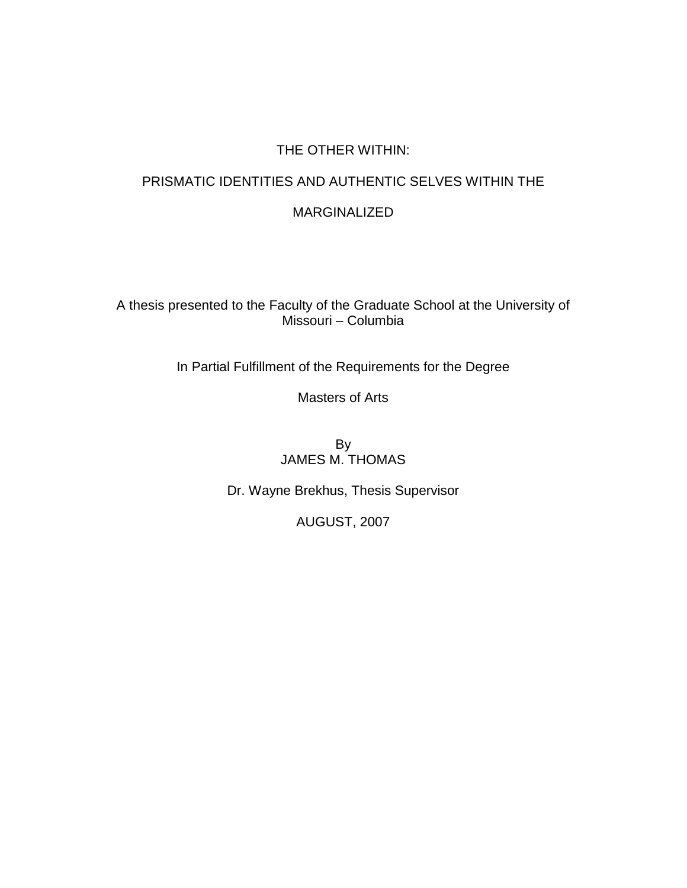## THE OTHER WITHIN:

# PRISMATIC IDENTITIES AND AUTHENTIC SELVES WITHIN THE

## MARGINALIZED

A thesis presented to the Faculty of the Graduate School at the University of Missouri – Columbia

In Partial Fulfillment of the Requirements for the Degree

Masters of Arts

By JAMES M. THOMAS

Dr. Wayne Brekhus, Thesis Supervisor

AUGUST, 2007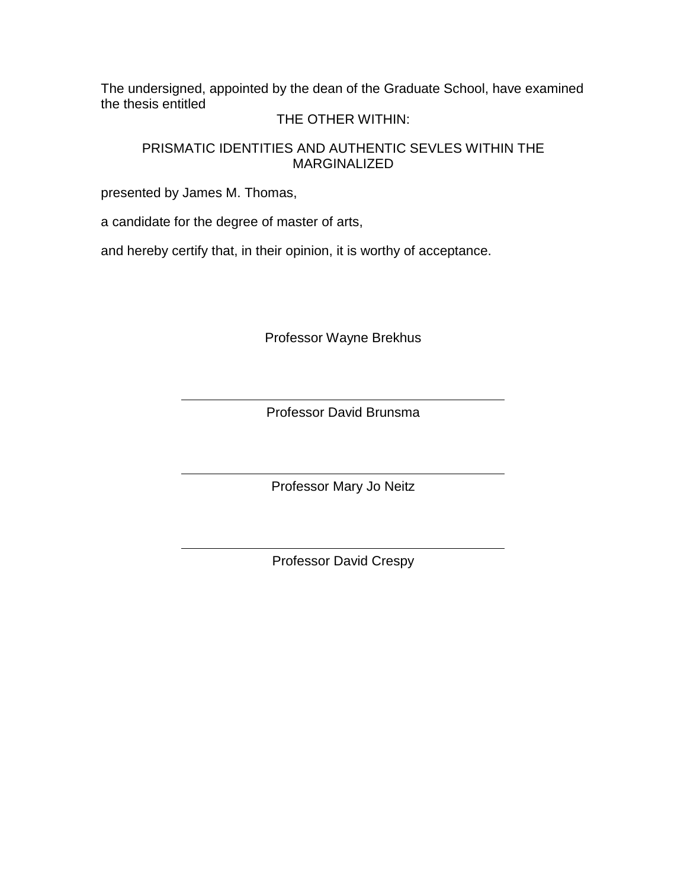The undersigned, appointed by the dean of the Graduate School, have examined the thesis entitled

## THE OTHER WITHIN:

## PRISMATIC IDENTITIES AND AUTHENTIC SEVLES WITHIN THE MARGINALIZED

presented by James M. Thomas,

a candidate for the degree of master of arts,

and hereby certify that, in their opinion, it is worthy of acceptance.

Professor Wayne Brekhus

Professor David Brunsma

Professor Mary Jo Neitz

Professor David Crespy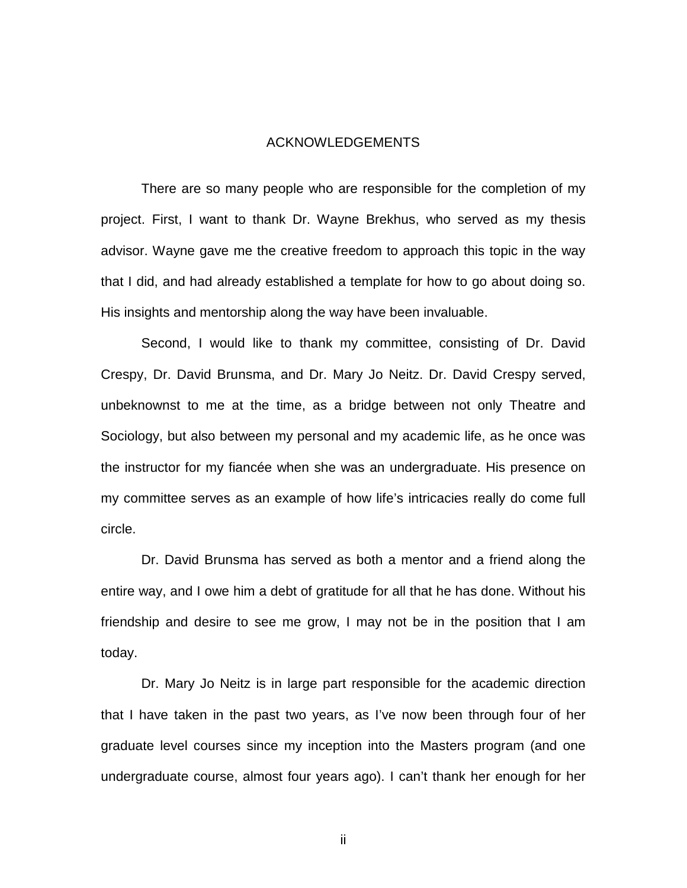#### ACKNOWLEDGEMENTS

 There are so many people who are responsible for the completion of my project. First, I want to thank Dr. Wayne Brekhus, who served as my thesis advisor. Wayne gave me the creative freedom to approach this topic in the way that I did, and had already established a template for how to go about doing so. His insights and mentorship along the way have been invaluable.

 Second, I would like to thank my committee, consisting of Dr. David Crespy, Dr. David Brunsma, and Dr. Mary Jo Neitz. Dr. David Crespy served, unbeknownst to me at the time, as a bridge between not only Theatre and Sociology, but also between my personal and my academic life, as he once was the instructor for my fiancée when she was an undergraduate. His presence on my committee serves as an example of how life's intricacies really do come full circle.

 Dr. David Brunsma has served as both a mentor and a friend along the entire way, and I owe him a debt of gratitude for all that he has done. Without his friendship and desire to see me grow, I may not be in the position that I am today.

 Dr. Mary Jo Neitz is in large part responsible for the academic direction that I have taken in the past two years, as I've now been through four of her graduate level courses since my inception into the Masters program (and one undergraduate course, almost four years ago). I can't thank her enough for her

ii in de la provincia de la provincia de la provincia de la provincia de la provincia de la provincia de la pr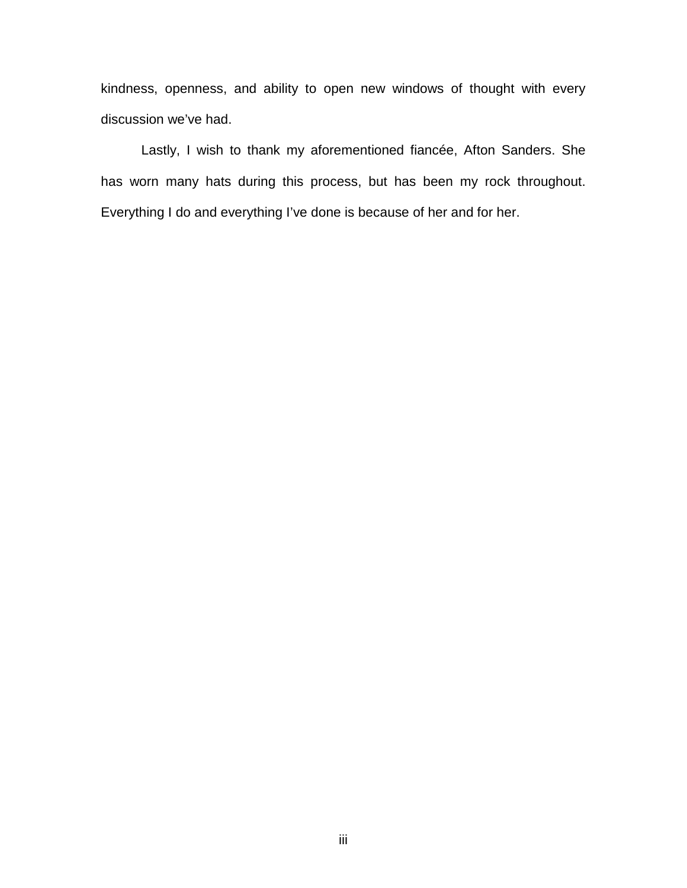kindness, openness, and ability to open new windows of thought with every discussion we've had.

 Lastly, I wish to thank my aforementioned fiancée, Afton Sanders. She has worn many hats during this process, but has been my rock throughout. Everything I do and everything I've done is because of her and for her.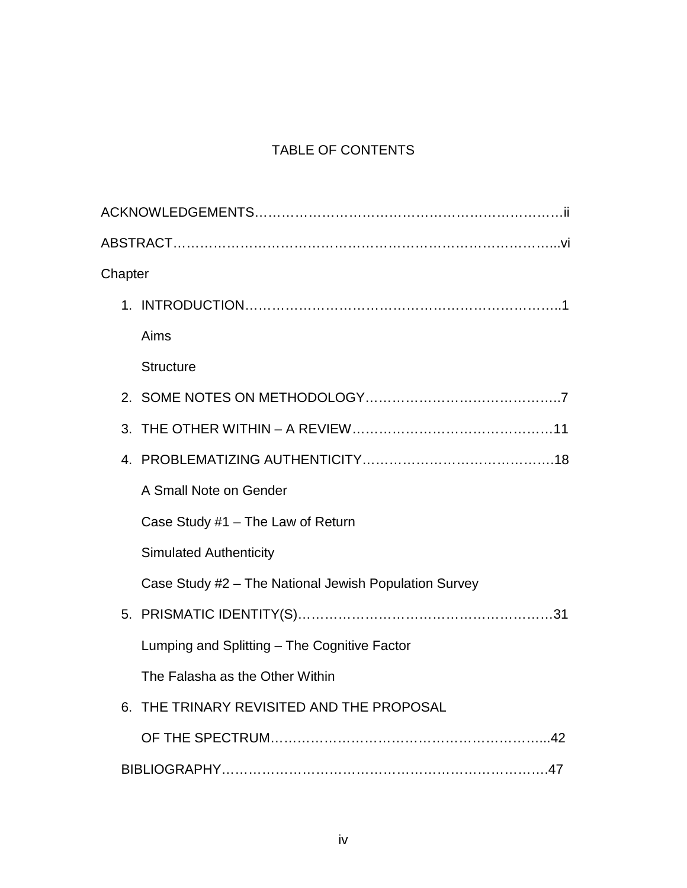## TABLE OF CONTENTS

| Chapter |                                                       |
|---------|-------------------------------------------------------|
|         |                                                       |
|         | Aims                                                  |
|         | <b>Structure</b>                                      |
|         |                                                       |
|         |                                                       |
|         |                                                       |
|         | A Small Note on Gender                                |
|         | Case Study #1 - The Law of Return                     |
|         | <b>Simulated Authenticity</b>                         |
|         | Case Study #2 - The National Jewish Population Survey |
|         |                                                       |
|         | Lumping and Splitting - The Cognitive Factor          |
|         | The Falasha as the Other Within                       |
| 6.      | THE TRINARY REVISITED AND THE PROPOSAL                |
|         |                                                       |
|         |                                                       |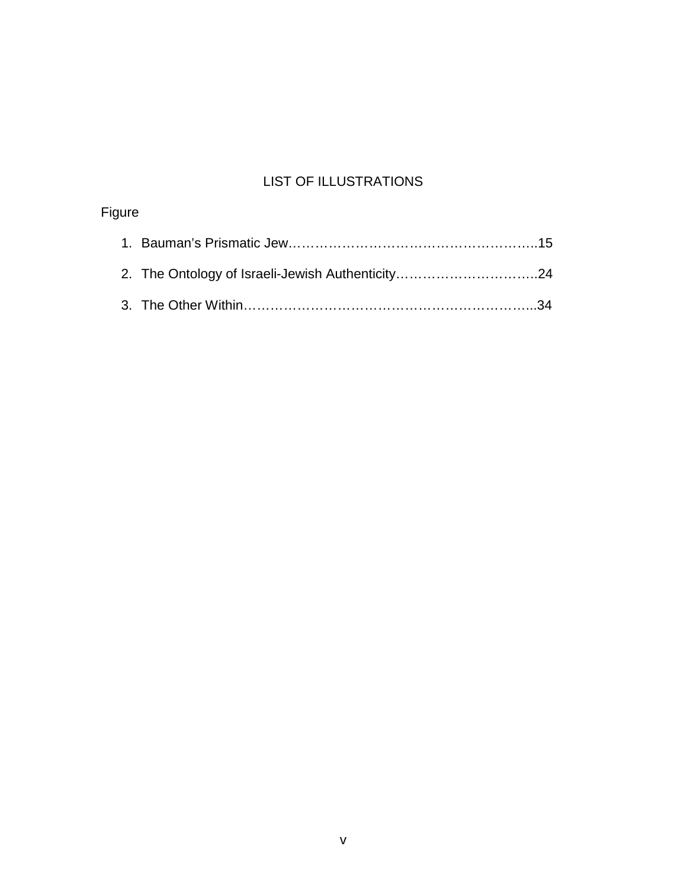## LIST OF ILLUSTRATIONS

| Figure |  |
|--------|--|
|        |  |
|        |  |
|        |  |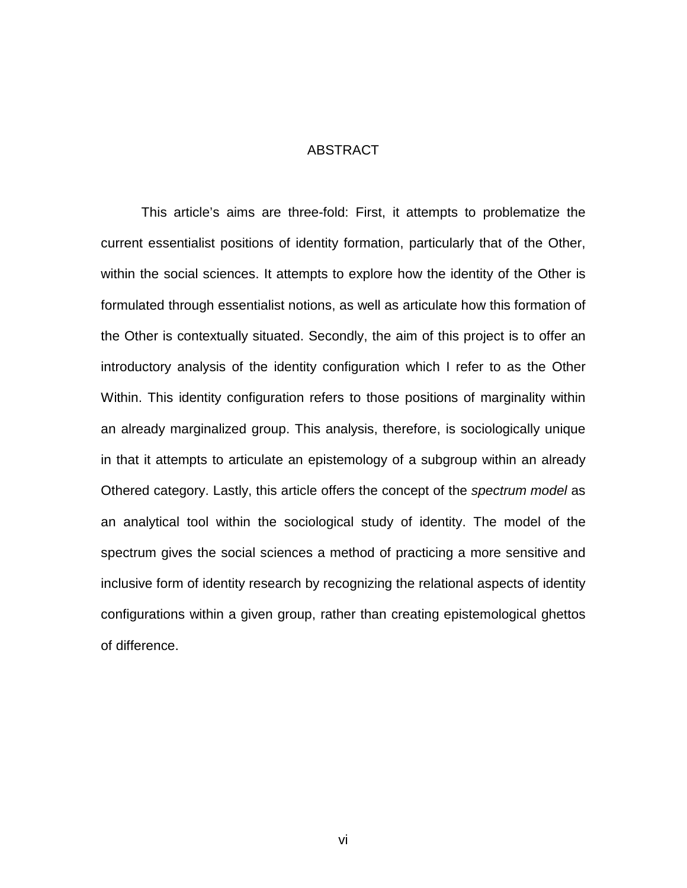#### ABSTRACT

 This article's aims are three-fold: First, it attempts to problematize the current essentialist positions of identity formation, particularly that of the Other, within the social sciences. It attempts to explore how the identity of the Other is formulated through essentialist notions, as well as articulate how this formation of the Other is contextually situated. Secondly, the aim of this project is to offer an introductory analysis of the identity configuration which I refer to as the Other Within. This identity configuration refers to those positions of marginality within an already marginalized group. This analysis, therefore, is sociologically unique in that it attempts to articulate an epistemology of a subgroup within an already Othered category. Lastly, this article offers the concept of the *spectrum model* as an analytical tool within the sociological study of identity. The model of the spectrum gives the social sciences a method of practicing a more sensitive and inclusive form of identity research by recognizing the relational aspects of identity configurations within a given group, rather than creating epistemological ghettos of difference.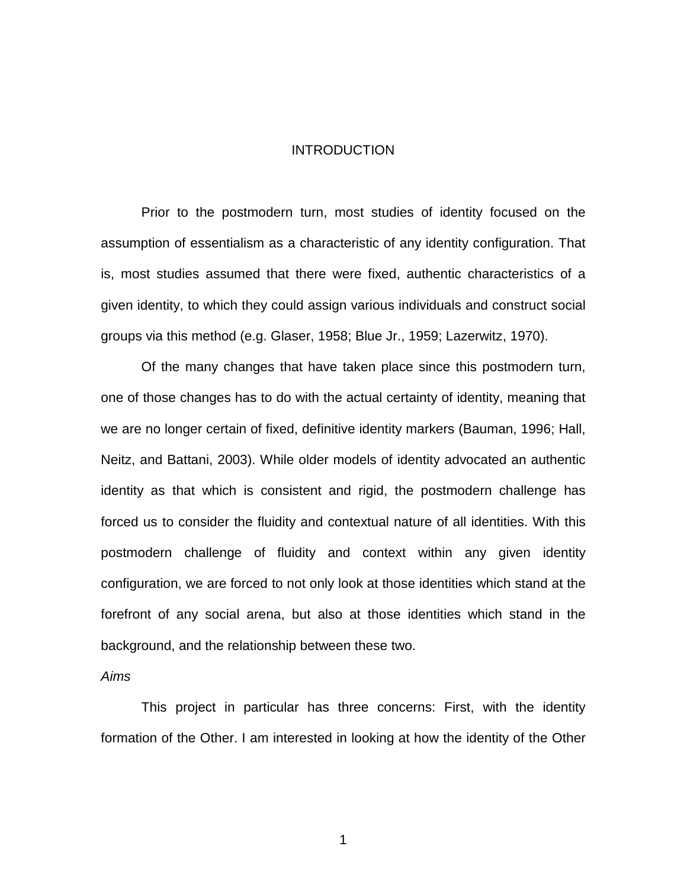#### INTRODUCTION

 Prior to the postmodern turn, most studies of identity focused on the assumption of essentialism as a characteristic of any identity configuration. That is, most studies assumed that there were fixed, authentic characteristics of a given identity, to which they could assign various individuals and construct social groups via this method (e.g. Glaser, 1958; Blue Jr., 1959; Lazerwitz, 1970).

 Of the many changes that have taken place since this postmodern turn, one of those changes has to do with the actual certainty of identity, meaning that we are no longer certain of fixed, definitive identity markers (Bauman, 1996; Hall, Neitz, and Battani, 2003). While older models of identity advocated an authentic identity as that which is consistent and rigid, the postmodern challenge has forced us to consider the fluidity and contextual nature of all identities. With this postmodern challenge of fluidity and context within any given identity configuration, we are forced to not only look at those identities which stand at the forefront of any social arena, but also at those identities which stand in the background, and the relationship between these two.

#### *Aims*

 This project in particular has three concerns: First, with the identity formation of the Other. I am interested in looking at how the identity of the Other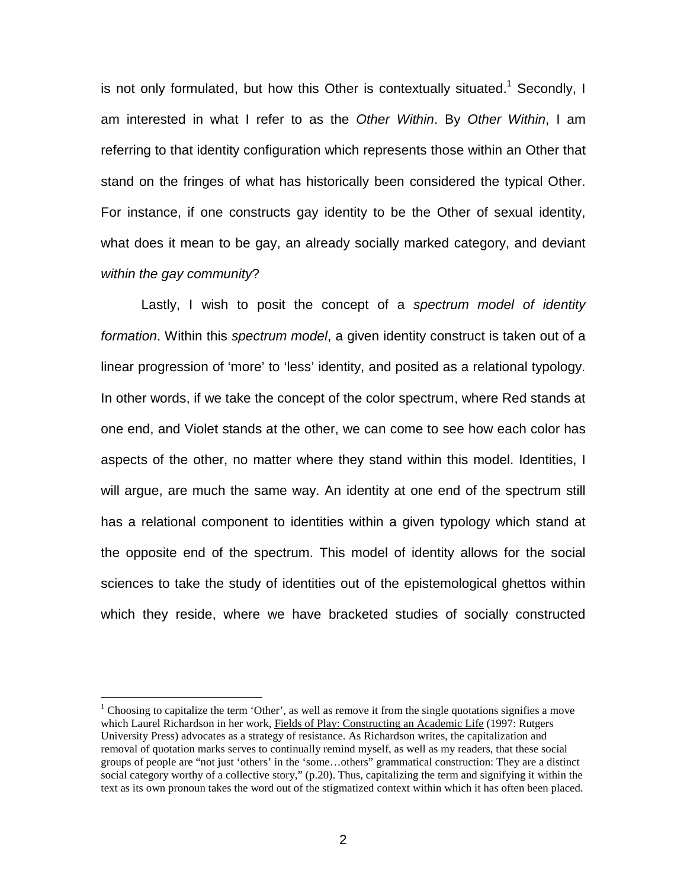is not only formulated, but how this Other is contextually situated.<sup>1</sup> Secondly, I am interested in what I refer to as the *Other Within*. By *Other Within*, I am referring to that identity configuration which represents those within an Other that stand on the fringes of what has historically been considered the typical Other. For instance, if one constructs gay identity to be the Other of sexual identity, what does it mean to be gay, an already socially marked category, and deviant *within the gay community*?

 Lastly, I wish to posit the concept of a *spectrum model of identity formation*. Within this *spectrum model*, a given identity construct is taken out of a linear progression of 'more' to 'less' identity, and posited as a relational typology. In other words, if we take the concept of the color spectrum, where Red stands at one end, and Violet stands at the other, we can come to see how each color has aspects of the other, no matter where they stand within this model. Identities, I will argue, are much the same way. An identity at one end of the spectrum still has a relational component to identities within a given typology which stand at the opposite end of the spectrum. This model of identity allows for the social sciences to take the study of identities out of the epistemological ghettos within which they reside, where we have bracketed studies of socially constructed

<sup>&</sup>lt;sup>1</sup> Choosing to capitalize the term 'Other', as well as remove it from the single quotations signifies a move which Laurel Richardson in her work, Fields of Play: Constructing an Academic Life (1997: Rutgers University Press) advocates as a strategy of resistance. As Richardson writes, the capitalization and removal of quotation marks serves to continually remind myself, as well as my readers, that these social groups of people are "not just 'others' in the 'some…others" grammatical construction: They are a distinct social category worthy of a collective story," (p.20). Thus, capitalizing the term and signifying it within the text as its own pronoun takes the word out of the stigmatized context within which it has often been placed.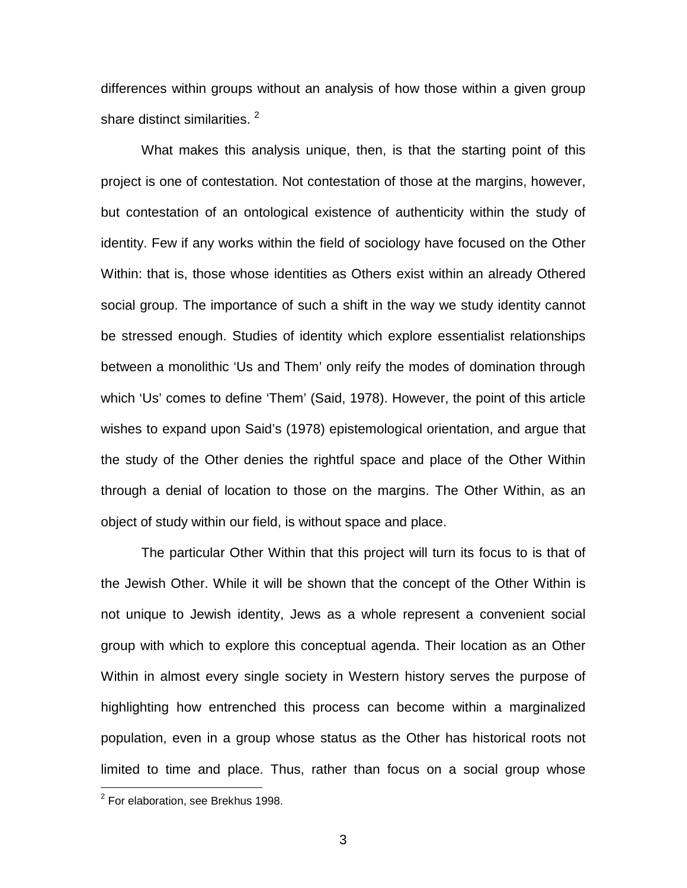differences within groups without an analysis of how those within a given group share distinct similarities.<sup>2</sup>

 What makes this analysis unique, then, is that the starting point of this project is one of contestation. Not contestation of those at the margins, however, but contestation of an ontological existence of authenticity within the study of identity. Few if any works within the field of sociology have focused on the Other Within: that is, those whose identities as Others exist within an already Othered social group. The importance of such a shift in the way we study identity cannot be stressed enough. Studies of identity which explore essentialist relationships between a monolithic 'Us and Them' only reify the modes of domination through which 'Us' comes to define 'Them' (Said, 1978). However, the point of this article wishes to expand upon Said's (1978) epistemological orientation, and argue that the study of the Other denies the rightful space and place of the Other Within through a denial of location to those on the margins. The Other Within, as an object of study within our field, is without space and place.

 The particular Other Within that this project will turn its focus to is that of the Jewish Other. While it will be shown that the concept of the Other Within is not unique to Jewish identity, Jews as a whole represent a convenient social group with which to explore this conceptual agenda. Their location as an Other Within in almost every single society in Western history serves the purpose of highlighting how entrenched this process can become within a marginalized population, even in a group whose status as the Other has historical roots not limited to time and place. Thus, rather than focus on a social group whose

 $2$  For elaboration, see Brekhus 1998.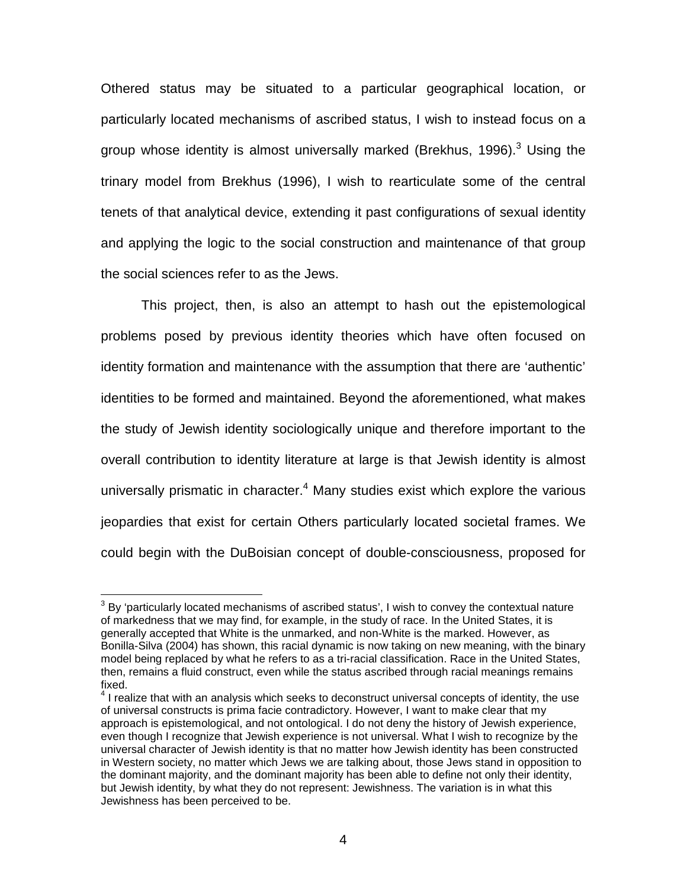Othered status may be situated to a particular geographical location, or particularly located mechanisms of ascribed status, I wish to instead focus on a group whose identity is almost universally marked (Brekhus, 1996).<sup>3</sup> Using the trinary model from Brekhus (1996), I wish to rearticulate some of the central tenets of that analytical device, extending it past configurations of sexual identity and applying the logic to the social construction and maintenance of that group the social sciences refer to as the Jews.

 This project, then, is also an attempt to hash out the epistemological problems posed by previous identity theories which have often focused on identity formation and maintenance with the assumption that there are 'authentic' identities to be formed and maintained. Beyond the aforementioned, what makes the study of Jewish identity sociologically unique and therefore important to the overall contribution to identity literature at large is that Jewish identity is almost universally prismatic in character.<sup>4</sup> Many studies exist which explore the various jeopardies that exist for certain Others particularly located societal frames. We could begin with the DuBoisian concept of double-consciousness, proposed for

 3 By 'particularly located mechanisms of ascribed status', I wish to convey the contextual nature of markedness that we may find, for example, in the study of race. In the United States, it is generally accepted that White is the unmarked, and non-White is the marked. However, as Bonilla-Silva (2004) has shown, this racial dynamic is now taking on new meaning, with the binary model being replaced by what he refers to as a tri-racial classification. Race in the United States, then, remains a fluid construct, even while the status ascribed through racial meanings remains fixed.

 $<sup>4</sup>$  I realize that with an analysis which seeks to deconstruct universal concepts of identity, the use</sup> of universal constructs is prima facie contradictory. However, I want to make clear that my approach is epistemological, and not ontological. I do not deny the history of Jewish experience, even though I recognize that Jewish experience is not universal. What I wish to recognize by the universal character of Jewish identity is that no matter how Jewish identity has been constructed in Western society, no matter which Jews we are talking about, those Jews stand in opposition to the dominant majority, and the dominant majority has been able to define not only their identity, but Jewish identity, by what they do not represent: Jewishness. The variation is in what this Jewishness has been perceived to be.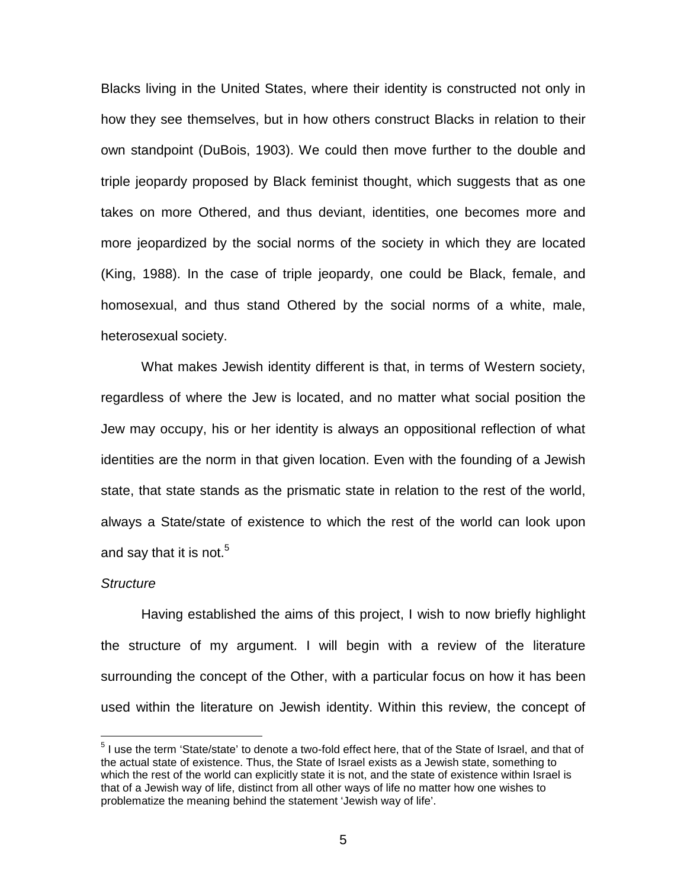Blacks living in the United States, where their identity is constructed not only in how they see themselves, but in how others construct Blacks in relation to their own standpoint (DuBois, 1903). We could then move further to the double and triple jeopardy proposed by Black feminist thought, which suggests that as one takes on more Othered, and thus deviant, identities, one becomes more and more jeopardized by the social norms of the society in which they are located (King, 1988). In the case of triple jeopardy, one could be Black, female, and homosexual, and thus stand Othered by the social norms of a white, male, heterosexual society.

 What makes Jewish identity different is that, in terms of Western society, regardless of where the Jew is located, and no matter what social position the Jew may occupy, his or her identity is always an oppositional reflection of what identities are the norm in that given location. Even with the founding of a Jewish state, that state stands as the prismatic state in relation to the rest of the world, always a State/state of existence to which the rest of the world can look upon and say that it is not.<sup>5</sup>

#### *Structure*

-

 Having established the aims of this project, I wish to now briefly highlight the structure of my argument. I will begin with a review of the literature surrounding the concept of the Other, with a particular focus on how it has been used within the literature on Jewish identity. Within this review, the concept of

<sup>&</sup>lt;sup>5</sup> I use the term 'State/state' to denote a two-fold effect here, that of the State of Israel, and that of the actual state of existence. Thus, the State of Israel exists as a Jewish state, something to which the rest of the world can explicitly state it is not, and the state of existence within Israel is that of a Jewish way of life, distinct from all other ways of life no matter how one wishes to problematize the meaning behind the statement 'Jewish way of life'.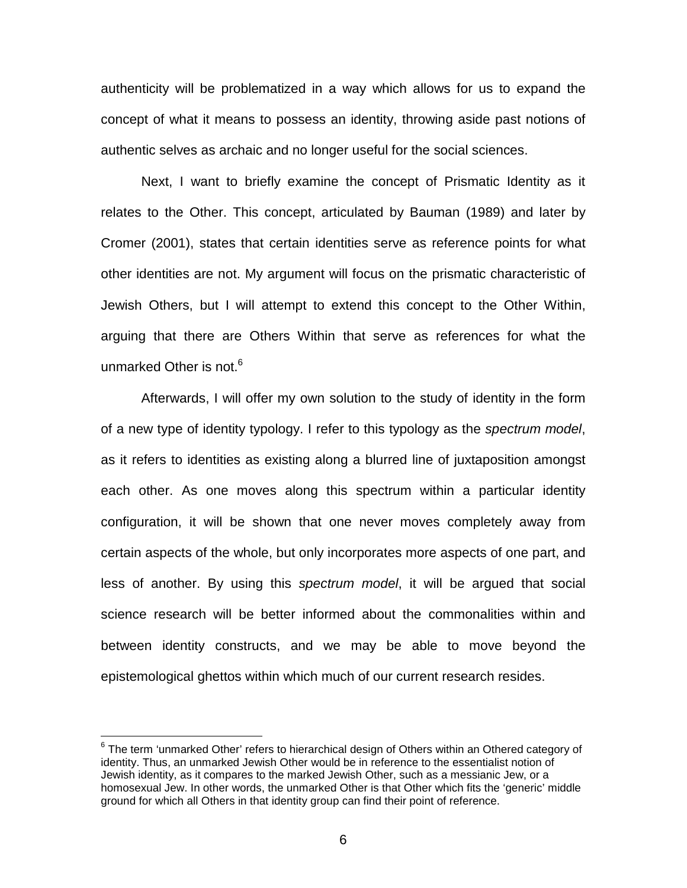authenticity will be problematized in a way which allows for us to expand the concept of what it means to possess an identity, throwing aside past notions of authentic selves as archaic and no longer useful for the social sciences.

 Next, I want to briefly examine the concept of Prismatic Identity as it relates to the Other. This concept, articulated by Bauman (1989) and later by Cromer (2001), states that certain identities serve as reference points for what other identities are not. My argument will focus on the prismatic characteristic of Jewish Others, but I will attempt to extend this concept to the Other Within, arguing that there are Others Within that serve as references for what the unmarked Other is not.<sup>6</sup>

 Afterwards, I will offer my own solution to the study of identity in the form of a new type of identity typology. I refer to this typology as the *spectrum model*, as it refers to identities as existing along a blurred line of juxtaposition amongst each other. As one moves along this spectrum within a particular identity configuration, it will be shown that one never moves completely away from certain aspects of the whole, but only incorporates more aspects of one part, and less of another. By using this *spectrum model*, it will be argued that social science research will be better informed about the commonalities within and between identity constructs, and we may be able to move beyond the epistemological ghettos within which much of our current research resides.

-

 $^6$  The term 'unmarked Other' refers to hierarchical design of Others within an Othered category of identity. Thus, an unmarked Jewish Other would be in reference to the essentialist notion of Jewish identity, as it compares to the marked Jewish Other, such as a messianic Jew, or a homosexual Jew. In other words, the unmarked Other is that Other which fits the 'generic' middle ground for which all Others in that identity group can find their point of reference.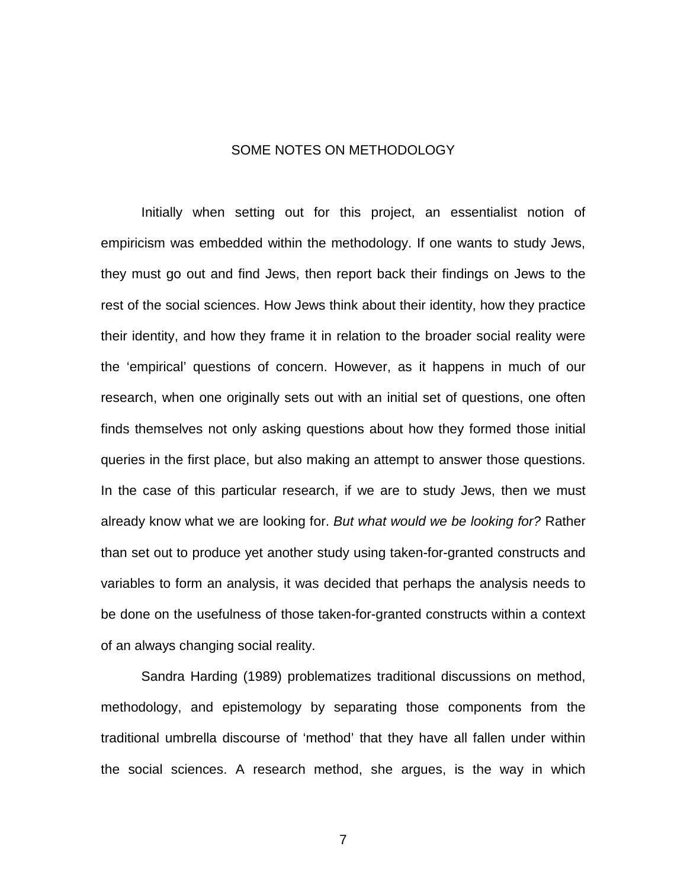#### SOME NOTES ON METHODOLOGY

 Initially when setting out for this project, an essentialist notion of empiricism was embedded within the methodology. If one wants to study Jews, they must go out and find Jews, then report back their findings on Jews to the rest of the social sciences. How Jews think about their identity, how they practice their identity, and how they frame it in relation to the broader social reality were the 'empirical' questions of concern. However, as it happens in much of our research, when one originally sets out with an initial set of questions, one often finds themselves not only asking questions about how they formed those initial queries in the first place, but also making an attempt to answer those questions. In the case of this particular research, if we are to study Jews, then we must already know what we are looking for. *But what would we be looking for?* Rather than set out to produce yet another study using taken-for-granted constructs and variables to form an analysis, it was decided that perhaps the analysis needs to be done on the usefulness of those taken-for-granted constructs within a context of an always changing social reality.

 Sandra Harding (1989) problematizes traditional discussions on method, methodology, and epistemology by separating those components from the traditional umbrella discourse of 'method' that they have all fallen under within the social sciences. A research method, she argues, is the way in which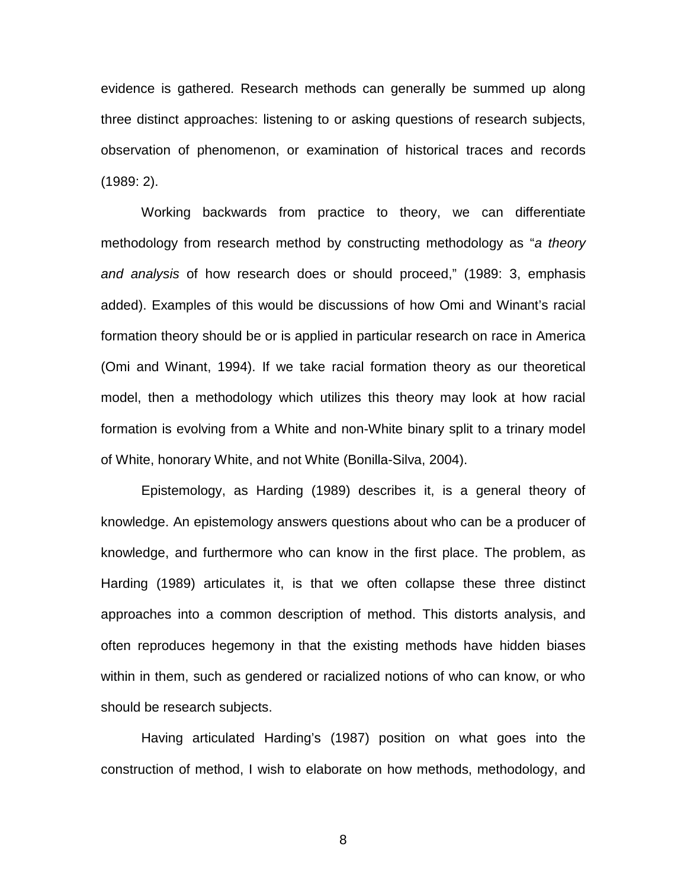evidence is gathered. Research methods can generally be summed up along three distinct approaches: listening to or asking questions of research subjects, observation of phenomenon, or examination of historical traces and records (1989: 2).

 Working backwards from practice to theory, we can differentiate methodology from research method by constructing methodology as "*a theory and analysis* of how research does or should proceed," (1989: 3, emphasis added). Examples of this would be discussions of how Omi and Winant's racial formation theory should be or is applied in particular research on race in America (Omi and Winant, 1994). If we take racial formation theory as our theoretical model, then a methodology which utilizes this theory may look at how racial formation is evolving from a White and non-White binary split to a trinary model of White, honorary White, and not White (Bonilla-Silva, 2004).

 Epistemology, as Harding (1989) describes it, is a general theory of knowledge. An epistemology answers questions about who can be a producer of knowledge, and furthermore who can know in the first place. The problem, as Harding (1989) articulates it, is that we often collapse these three distinct approaches into a common description of method. This distorts analysis, and often reproduces hegemony in that the existing methods have hidden biases within in them, such as gendered or racialized notions of who can know, or who should be research subjects.

 Having articulated Harding's (1987) position on what goes into the construction of method, I wish to elaborate on how methods, methodology, and

en andere andere andere andere andere andere andere andere andere andere andere andere andere andere andere a<br>Beste andere andere andere andere andere andere andere andere andere andere andere andere andere andere andere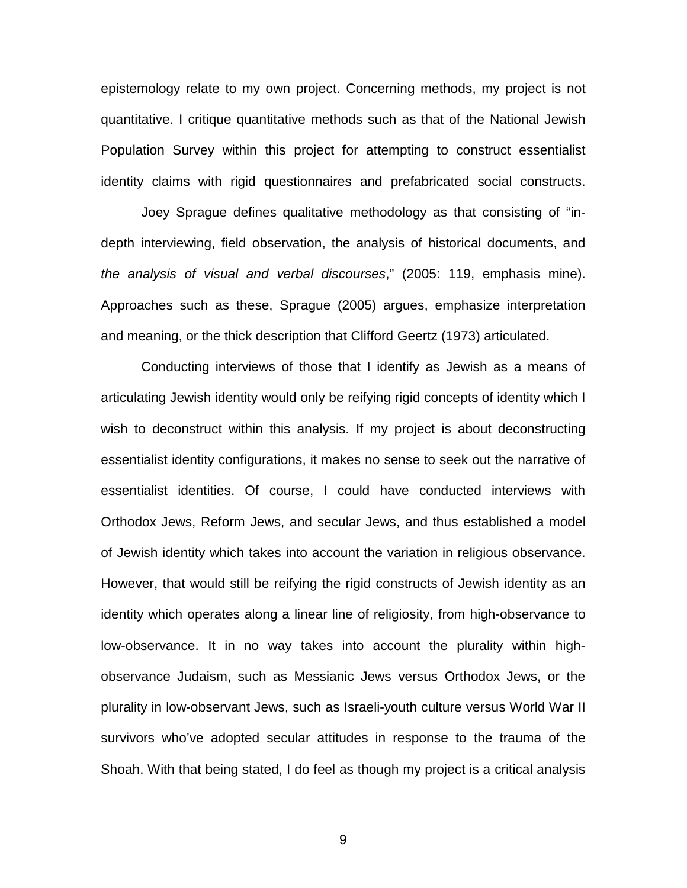epistemology relate to my own project. Concerning methods, my project is not quantitative. I critique quantitative methods such as that of the National Jewish Population Survey within this project for attempting to construct essentialist identity claims with rigid questionnaires and prefabricated social constructs.

 Joey Sprague defines qualitative methodology as that consisting of "indepth interviewing, field observation, the analysis of historical documents, and *the analysis of visual and verbal discourses*," (2005: 119, emphasis mine). Approaches such as these, Sprague (2005) argues, emphasize interpretation and meaning, or the thick description that Clifford Geertz (1973) articulated.

 Conducting interviews of those that I identify as Jewish as a means of articulating Jewish identity would only be reifying rigid concepts of identity which I wish to deconstruct within this analysis. If my project is about deconstructing essentialist identity configurations, it makes no sense to seek out the narrative of essentialist identities. Of course, I could have conducted interviews with Orthodox Jews, Reform Jews, and secular Jews, and thus established a model of Jewish identity which takes into account the variation in religious observance. However, that would still be reifying the rigid constructs of Jewish identity as an identity which operates along a linear line of religiosity, from high-observance to low-observance. It in no way takes into account the plurality within highobservance Judaism, such as Messianic Jews versus Orthodox Jews, or the plurality in low-observant Jews, such as Israeli-youth culture versus World War II survivors who've adopted secular attitudes in response to the trauma of the Shoah. With that being stated, I do feel as though my project is a critical analysis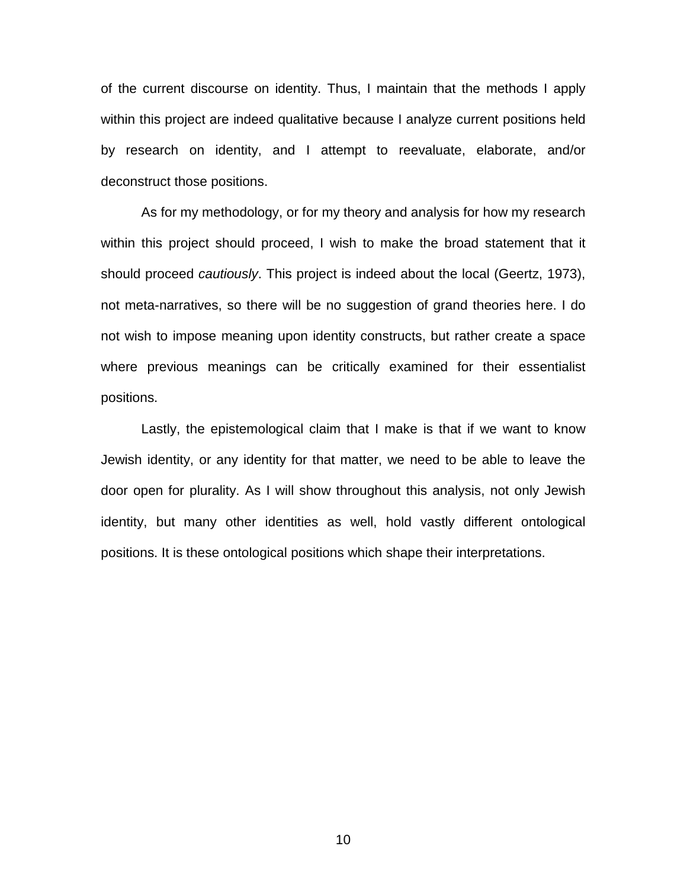of the current discourse on identity. Thus, I maintain that the methods I apply within this project are indeed qualitative because I analyze current positions held by research on identity, and I attempt to reevaluate, elaborate, and/or deconstruct those positions.

 As for my methodology, or for my theory and analysis for how my research within this project should proceed, I wish to make the broad statement that it should proceed *cautiously*. This project is indeed about the local (Geertz, 1973), not meta-narratives, so there will be no suggestion of grand theories here. I do not wish to impose meaning upon identity constructs, but rather create a space where previous meanings can be critically examined for their essentialist positions.

 Lastly, the epistemological claim that I make is that if we want to know Jewish identity, or any identity for that matter, we need to be able to leave the door open for plurality. As I will show throughout this analysis, not only Jewish identity, but many other identities as well, hold vastly different ontological positions. It is these ontological positions which shape their interpretations.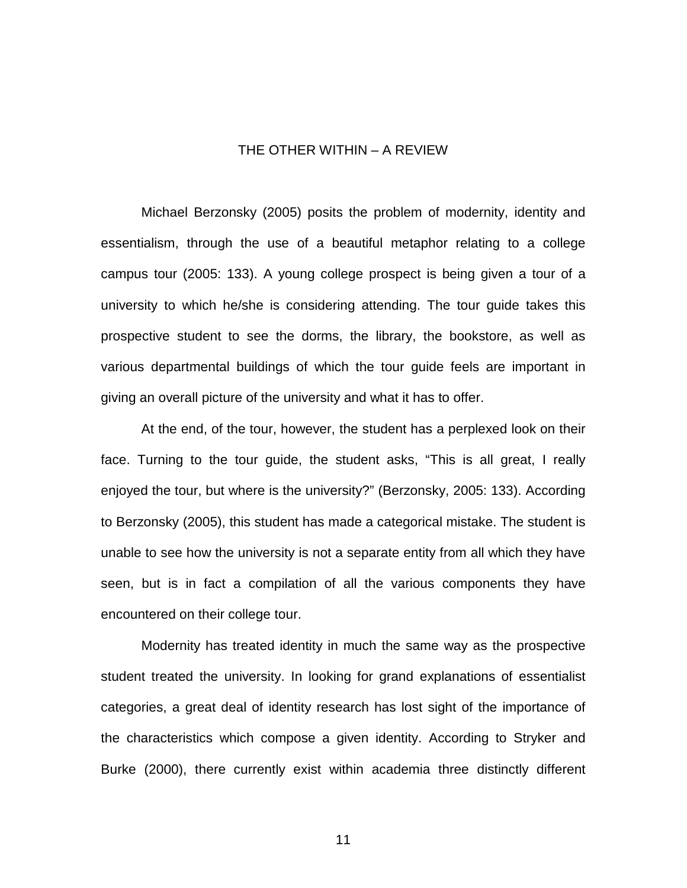#### THE OTHER WITHIN – A REVIEW

 Michael Berzonsky (2005) posits the problem of modernity, identity and essentialism, through the use of a beautiful metaphor relating to a college campus tour (2005: 133). A young college prospect is being given a tour of a university to which he/she is considering attending. The tour guide takes this prospective student to see the dorms, the library, the bookstore, as well as various departmental buildings of which the tour guide feels are important in giving an overall picture of the university and what it has to offer.

 At the end, of the tour, however, the student has a perplexed look on their face. Turning to the tour guide, the student asks, "This is all great, I really enjoyed the tour, but where is the university?" (Berzonsky, 2005: 133). According to Berzonsky (2005), this student has made a categorical mistake. The student is unable to see how the university is not a separate entity from all which they have seen, but is in fact a compilation of all the various components they have encountered on their college tour.

 Modernity has treated identity in much the same way as the prospective student treated the university. In looking for grand explanations of essentialist categories, a great deal of identity research has lost sight of the importance of the characteristics which compose a given identity. According to Stryker and Burke (2000), there currently exist within academia three distinctly different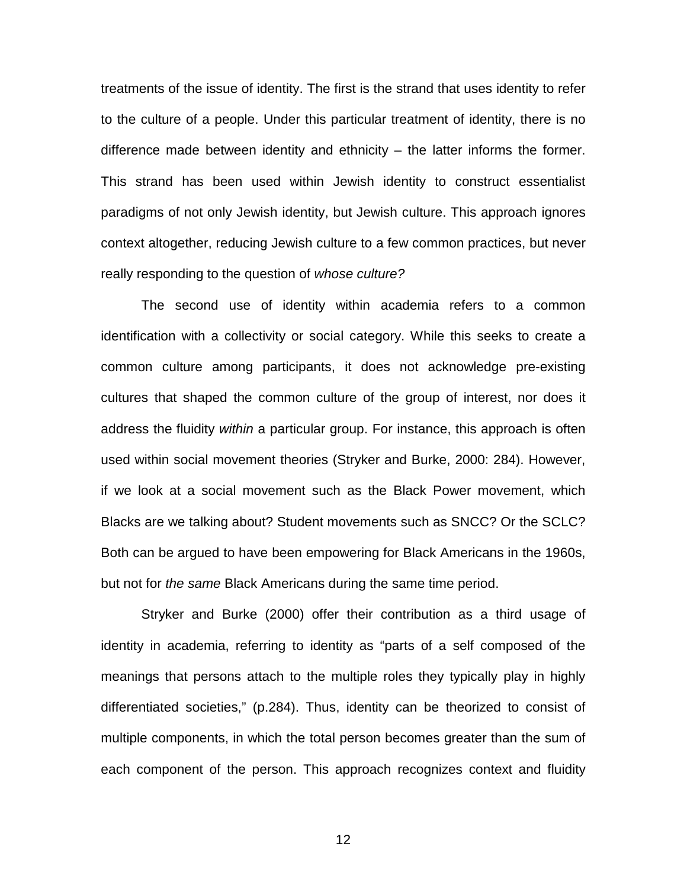treatments of the issue of identity. The first is the strand that uses identity to refer to the culture of a people. Under this particular treatment of identity, there is no difference made between identity and ethnicity – the latter informs the former. This strand has been used within Jewish identity to construct essentialist paradigms of not only Jewish identity, but Jewish culture. This approach ignores context altogether, reducing Jewish culture to a few common practices, but never really responding to the question of *whose culture?*

 The second use of identity within academia refers to a common identification with a collectivity or social category. While this seeks to create a common culture among participants, it does not acknowledge pre-existing cultures that shaped the common culture of the group of interest, nor does it address the fluidity *within* a particular group. For instance, this approach is often used within social movement theories (Stryker and Burke, 2000: 284). However, if we look at a social movement such as the Black Power movement, which Blacks are we talking about? Student movements such as SNCC? Or the SCLC? Both can be argued to have been empowering for Black Americans in the 1960s, but not for *the same* Black Americans during the same time period.

 Stryker and Burke (2000) offer their contribution as a third usage of identity in academia, referring to identity as "parts of a self composed of the meanings that persons attach to the multiple roles they typically play in highly differentiated societies," (p.284). Thus, identity can be theorized to consist of multiple components, in which the total person becomes greater than the sum of each component of the person. This approach recognizes context and fluidity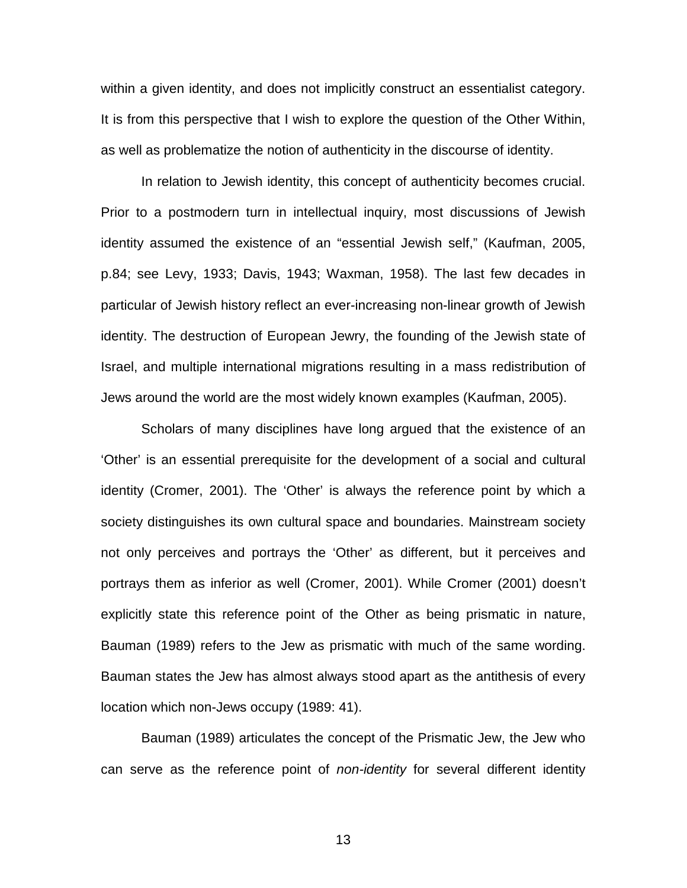within a given identity, and does not implicitly construct an essentialist category. It is from this perspective that I wish to explore the question of the Other Within, as well as problematize the notion of authenticity in the discourse of identity.

 In relation to Jewish identity, this concept of authenticity becomes crucial. Prior to a postmodern turn in intellectual inquiry, most discussions of Jewish identity assumed the existence of an "essential Jewish self," (Kaufman, 2005, p.84; see Levy, 1933; Davis, 1943; Waxman, 1958). The last few decades in particular of Jewish history reflect an ever-increasing non-linear growth of Jewish identity. The destruction of European Jewry, the founding of the Jewish state of Israel, and multiple international migrations resulting in a mass redistribution of Jews around the world are the most widely known examples (Kaufman, 2005).

 Scholars of many disciplines have long argued that the existence of an 'Other' is an essential prerequisite for the development of a social and cultural identity (Cromer, 2001). The 'Other' is always the reference point by which a society distinguishes its own cultural space and boundaries. Mainstream society not only perceives and portrays the 'Other' as different, but it perceives and portrays them as inferior as well (Cromer, 2001). While Cromer (2001) doesn't explicitly state this reference point of the Other as being prismatic in nature, Bauman (1989) refers to the Jew as prismatic with much of the same wording. Bauman states the Jew has almost always stood apart as the antithesis of every location which non-Jews occupy (1989: 41).

 Bauman (1989) articulates the concept of the Prismatic Jew, the Jew who can serve as the reference point of *non-identity* for several different identity

<u>13 and 2001 and 2001 and 2001 and 2001 and 2001 and 2001 and 2001 and 2001 and 2001 and 2001 and 200</u>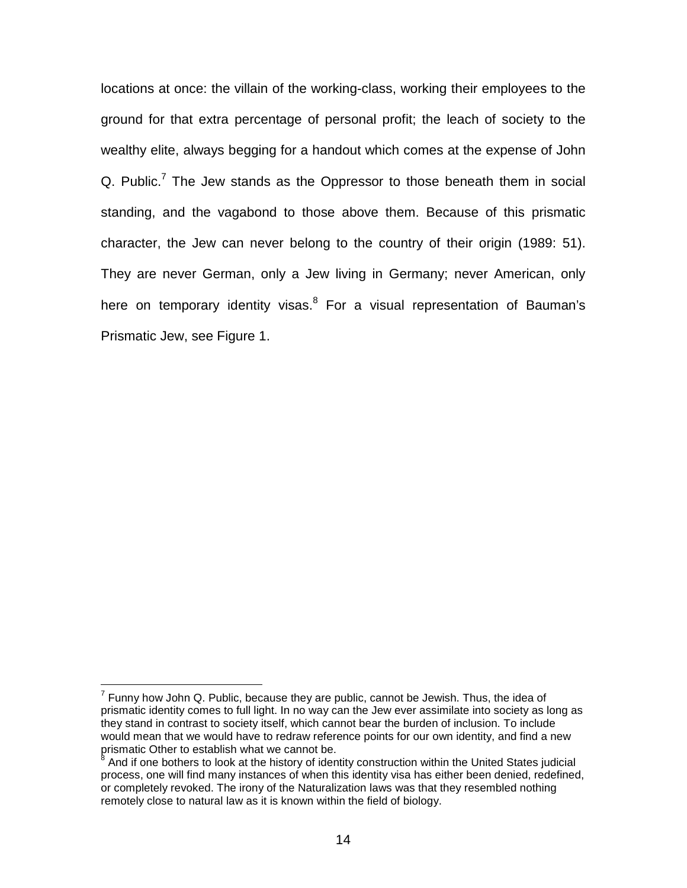locations at once: the villain of the working-class, working their employees to the ground for that extra percentage of personal profit; the leach of society to the wealthy elite, always begging for a handout which comes at the expense of John Q. Public.<sup>7</sup> The Jew stands as the Oppressor to those beneath them in social standing, and the vagabond to those above them. Because of this prismatic character, the Jew can never belong to the country of their origin (1989: 51). They are never German, only a Jew living in Germany; never American, only here on temporary identity visas.<sup>8</sup> For a visual representation of Bauman's Prismatic Jew, see Figure 1.

<sup>————————————————————&</sup>lt;br><sup>7</sup> Funny how John Q. Public, because they are public, cannot be Jewish. Thus, the idea of prismatic identity comes to full light. In no way can the Jew ever assimilate into society as long as they stand in contrast to society itself, which cannot bear the burden of inclusion. To include would mean that we would have to redraw reference points for our own identity, and find a new prismatic Other to establish what we cannot be.<br><sup>8</sup> And if ane hethere to leak at the history of iden

And if one bothers to look at the history of identity construction within the United States judicial process, one will find many instances of when this identity visa has either been denied, redefined, or completely revoked. The irony of the Naturalization laws was that they resembled nothing remotely close to natural law as it is known within the field of biology.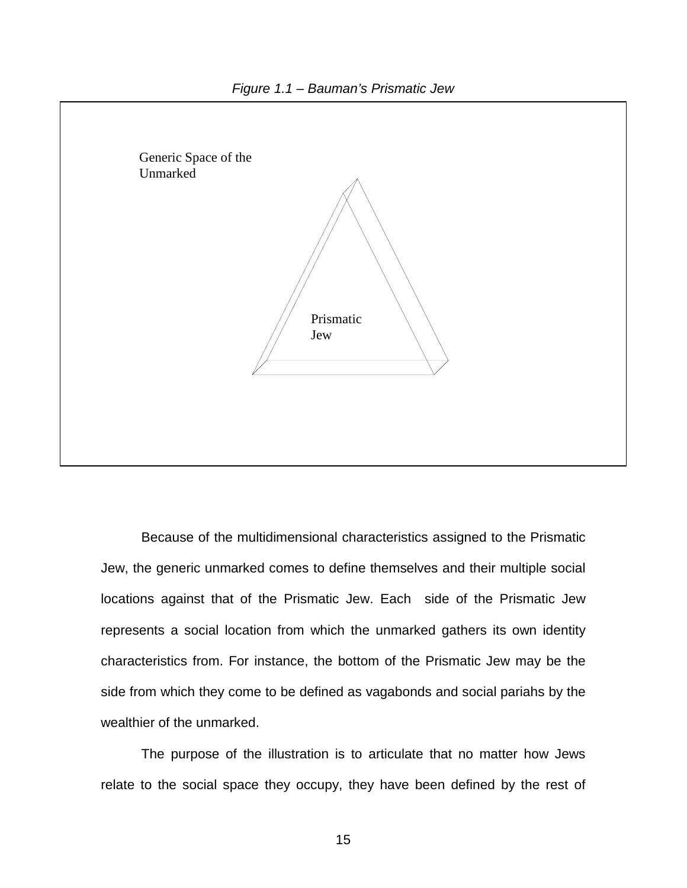



 Because of the multidimensional characteristics assigned to the Prismatic Jew, the generic unmarked comes to define themselves and their multiple social locations against that of the Prismatic Jew. Each side of the Prismatic Jew represents a social location from which the unmarked gathers its own identity characteristics from. For instance, the bottom of the Prismatic Jew may be the side from which they come to be defined as vagabonds and social pariahs by the wealthier of the unmarked.

 The purpose of the illustration is to articulate that no matter how Jews relate to the social space they occupy, they have been defined by the rest of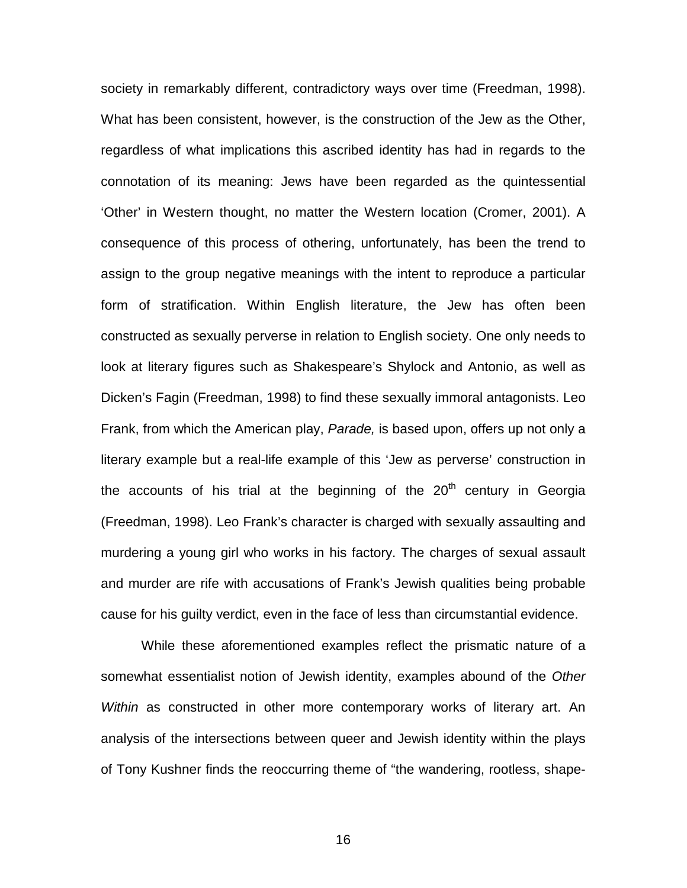society in remarkably different, contradictory ways over time (Freedman, 1998). What has been consistent, however, is the construction of the Jew as the Other, regardless of what implications this ascribed identity has had in regards to the connotation of its meaning: Jews have been regarded as the quintessential 'Other' in Western thought, no matter the Western location (Cromer, 2001). A consequence of this process of othering, unfortunately, has been the trend to assign to the group negative meanings with the intent to reproduce a particular form of stratification. Within English literature, the Jew has often been constructed as sexually perverse in relation to English society. One only needs to look at literary figures such as Shakespeare's Shylock and Antonio, as well as Dicken's Fagin (Freedman, 1998) to find these sexually immoral antagonists. Leo Frank, from which the American play, *Parade,* is based upon, offers up not only a literary example but a real-life example of this 'Jew as perverse' construction in the accounts of his trial at the beginning of the  $20<sup>th</sup>$  century in Georgia (Freedman, 1998). Leo Frank's character is charged with sexually assaulting and murdering a young girl who works in his factory. The charges of sexual assault and murder are rife with accusations of Frank's Jewish qualities being probable cause for his guilty verdict, even in the face of less than circumstantial evidence.

 While these aforementioned examples reflect the prismatic nature of a somewhat essentialist notion of Jewish identity, examples abound of the *Other Within* as constructed in other more contemporary works of literary art. An analysis of the intersections between queer and Jewish identity within the plays of Tony Kushner finds the reoccurring theme of "the wandering, rootless, shape-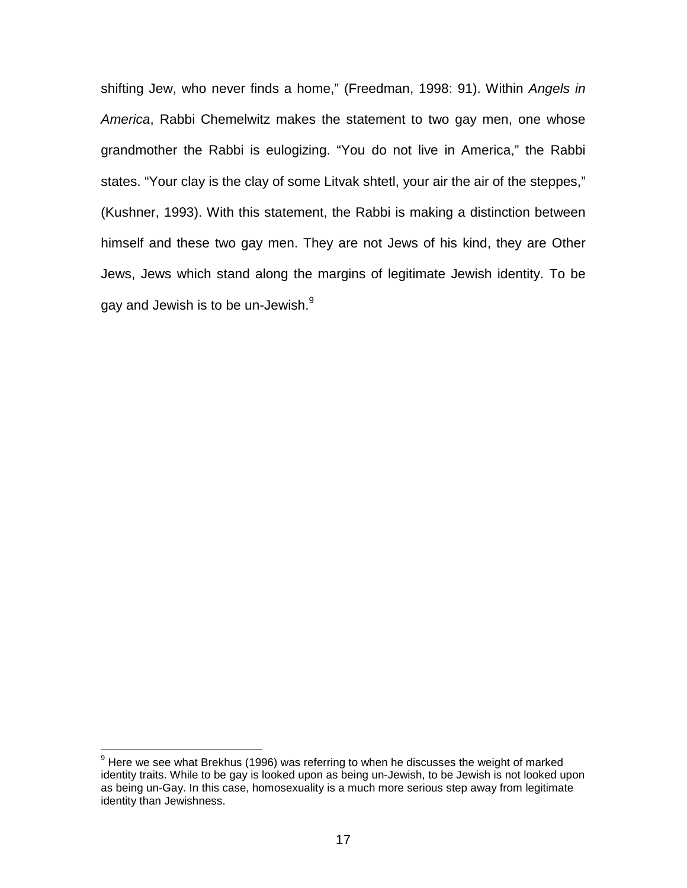shifting Jew, who never finds a home," (Freedman, 1998: 91). Within *Angels in America*, Rabbi Chemelwitz makes the statement to two gay men, one whose grandmother the Rabbi is eulogizing. "You do not live in America," the Rabbi states. "Your clay is the clay of some Litvak shtetl, your air the air of the steppes," (Kushner, 1993). With this statement, the Rabbi is making a distinction between himself and these two gay men. They are not Jews of his kind, they are Other Jews, Jews which stand along the margins of legitimate Jewish identity. To be gay and Jewish is to be un-Jewish.<sup>9</sup>

 9 Here we see what Brekhus (1996) was referring to when he discusses the weight of marked identity traits. While to be gay is looked upon as being un-Jewish, to be Jewish is not looked upon as being un-Gay. In this case, homosexuality is a much more serious step away from legitimate identity than Jewishness.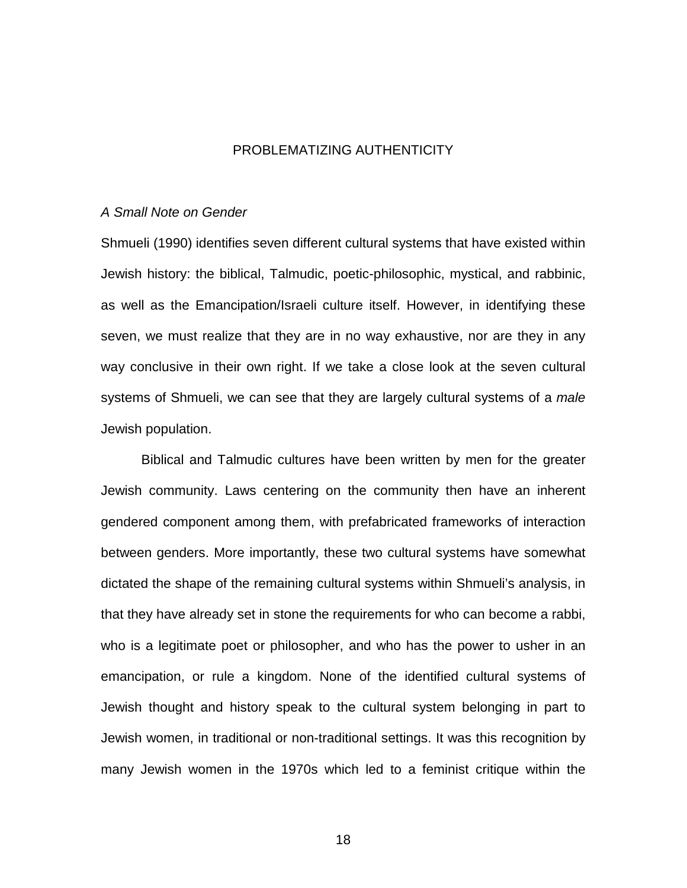#### PROBLEMATIZING AUTHENTICITY

#### *A Small Note on Gender*

Shmueli (1990) identifies seven different cultural systems that have existed within Jewish history: the biblical, Talmudic, poetic-philosophic, mystical, and rabbinic, as well as the Emancipation/Israeli culture itself. However, in identifying these seven, we must realize that they are in no way exhaustive, nor are they in any way conclusive in their own right. If we take a close look at the seven cultural systems of Shmueli, we can see that they are largely cultural systems of a *male* Jewish population.

 Biblical and Talmudic cultures have been written by men for the greater Jewish community. Laws centering on the community then have an inherent gendered component among them, with prefabricated frameworks of interaction between genders. More importantly, these two cultural systems have somewhat dictated the shape of the remaining cultural systems within Shmueli's analysis, in that they have already set in stone the requirements for who can become a rabbi, who is a legitimate poet or philosopher, and who has the power to usher in an emancipation, or rule a kingdom. None of the identified cultural systems of Jewish thought and history speak to the cultural system belonging in part to Jewish women, in traditional or non-traditional settings. It was this recognition by many Jewish women in the 1970s which led to a feminist critique within the

the contract of the contract of the 18 and 18 and 18 and 18 and 18 and 18 and 18 and 18 and 18 and 18 and 18 a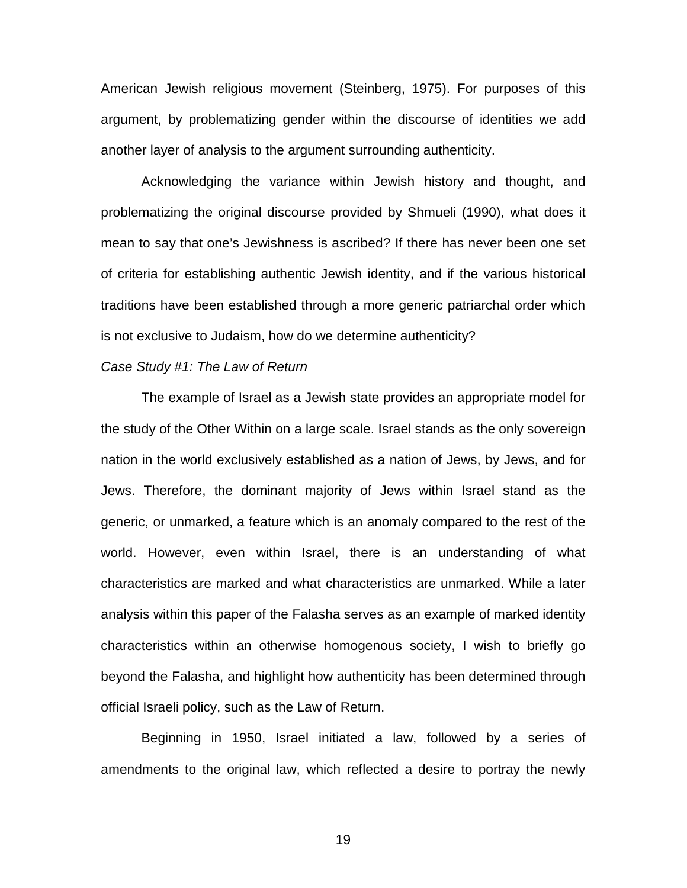American Jewish religious movement (Steinberg, 1975). For purposes of this argument, by problematizing gender within the discourse of identities we add another layer of analysis to the argument surrounding authenticity.

 Acknowledging the variance within Jewish history and thought, and problematizing the original discourse provided by Shmueli (1990), what does it mean to say that one's Jewishness is ascribed? If there has never been one set of criteria for establishing authentic Jewish identity, and if the various historical traditions have been established through a more generic patriarchal order which is not exclusive to Judaism, how do we determine authenticity?

#### *Case Study #1: The Law of Return*

 The example of Israel as a Jewish state provides an appropriate model for the study of the Other Within on a large scale. Israel stands as the only sovereign nation in the world exclusively established as a nation of Jews, by Jews, and for Jews. Therefore, the dominant majority of Jews within Israel stand as the generic, or unmarked, a feature which is an anomaly compared to the rest of the world. However, even within Israel, there is an understanding of what characteristics are marked and what characteristics are unmarked. While a later analysis within this paper of the Falasha serves as an example of marked identity characteristics within an otherwise homogenous society, I wish to briefly go beyond the Falasha, and highlight how authenticity has been determined through official Israeli policy, such as the Law of Return.

Beginning in 1950, Israel initiated a law, followed by a series of amendments to the original law, which reflected a desire to portray the newly

the contract of the contract of the contract of the contract of the contract of the contract of the contract o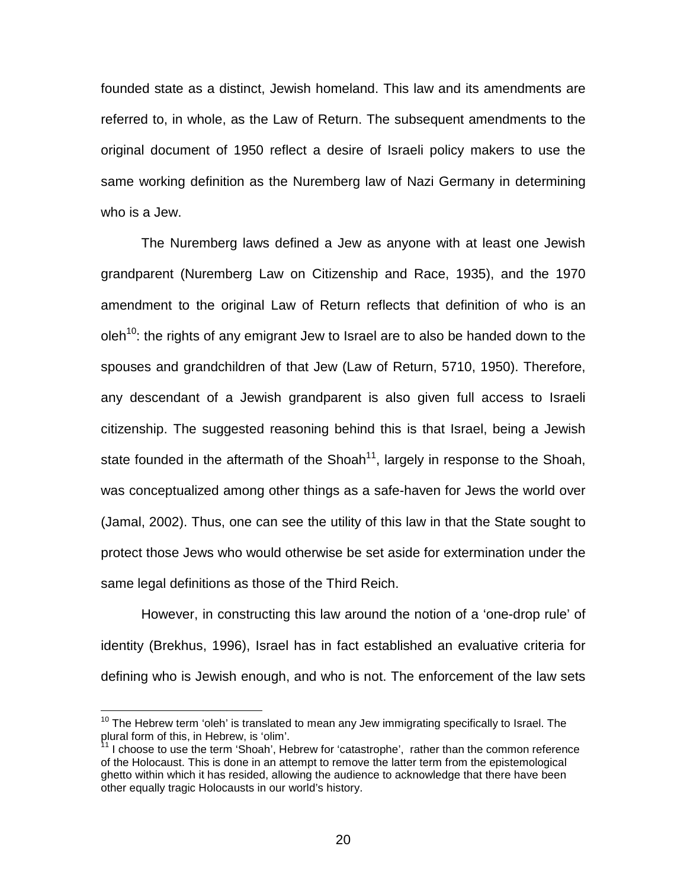founded state as a distinct, Jewish homeland. This law and its amendments are referred to, in whole, as the Law of Return. The subsequent amendments to the original document of 1950 reflect a desire of Israeli policy makers to use the same working definition as the Nuremberg law of Nazi Germany in determining who is a Jew.

 The Nuremberg laws defined a Jew as anyone with at least one Jewish grandparent (Nuremberg Law on Citizenship and Race, 1935), and the 1970 amendment to the original Law of Return reflects that definition of who is an oleh<sup>10</sup>: the rights of any emigrant Jew to Israel are to also be handed down to the spouses and grandchildren of that Jew (Law of Return, 5710, 1950). Therefore, any descendant of a Jewish grandparent is also given full access to Israeli citizenship. The suggested reasoning behind this is that Israel, being a Jewish state founded in the aftermath of the Shoah<sup>11</sup>, largely in response to the Shoah, was conceptualized among other things as a safe-haven for Jews the world over (Jamal, 2002). Thus, one can see the utility of this law in that the State sought to protect those Jews who would otherwise be set aside for extermination under the same legal definitions as those of the Third Reich.

 However, in constructing this law around the notion of a 'one-drop rule' of identity (Brekhus, 1996), Israel has in fact established an evaluative criteria for defining who is Jewish enough, and who is not. The enforcement of the law sets

 $10$  The Hebrew term 'oleh' is translated to mean any Jew immigrating specifically to Israel. The plural form of this, in Hebrew, is 'olim'.

 $11$  I choose to use the term 'Shoah', Hebrew for 'catastrophe', rather than the common reference of the Holocaust. This is done in an attempt to remove the latter term from the epistemological ghetto within which it has resided, allowing the audience to acknowledge that there have been other equally tragic Holocausts in our world's history.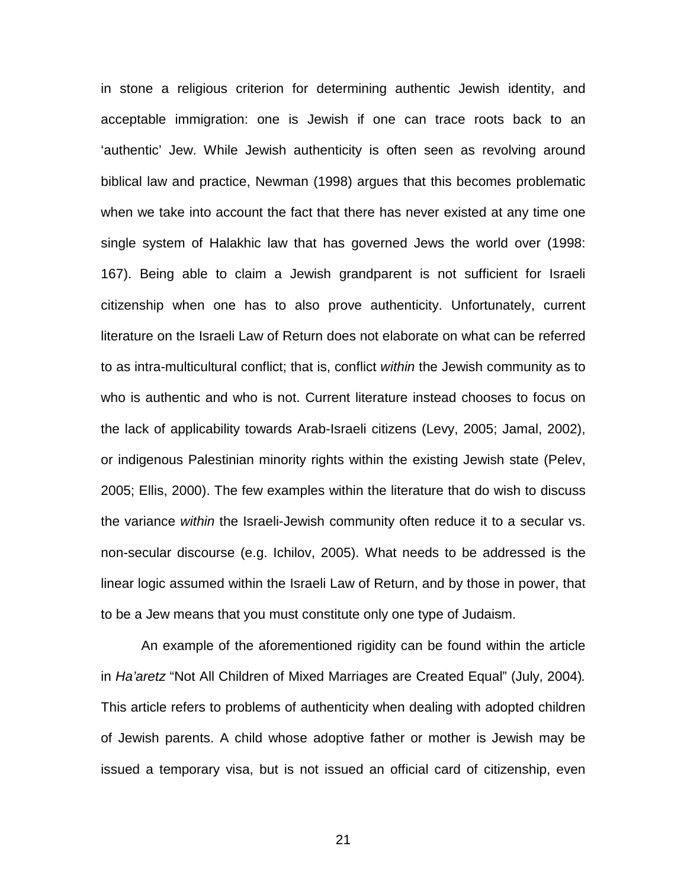in stone a religious criterion for determining authentic Jewish identity, and acceptable immigration: one is Jewish if one can trace roots back to an 'authentic' Jew. While Jewish authenticity is often seen as revolving around biblical law and practice, Newman (1998) argues that this becomes problematic when we take into account the fact that there has never existed at any time one single system of Halakhic law that has governed Jews the world over (1998: 167). Being able to claim a Jewish grandparent is not sufficient for Israeli citizenship when one has to also prove authenticity. Unfortunately, current literature on the Israeli Law of Return does not elaborate on what can be referred to as intra-multicultural conflict; that is, conflict *within* the Jewish community as to who is authentic and who is not. Current literature instead chooses to focus on the lack of applicability towards Arab-Israeli citizens (Levy, 2005; Jamal, 2002), or indigenous Palestinian minority rights within the existing Jewish state (Pelev, 2005; Ellis, 2000). The few examples within the literature that do wish to discuss the variance *within* the Israeli-Jewish community often reduce it to a secular vs. non-secular discourse (e.g. Ichilov, 2005). What needs to be addressed is the linear logic assumed within the Israeli Law of Return, and by those in power, that to be a Jew means that you must constitute only one type of Judaism.

 An example of the aforementioned rigidity can be found within the article in *Ha'aretz* "Not All Children of Mixed Marriages are Created Equal" (July, 2004)*.* This article refers to problems of authenticity when dealing with adopted children of Jewish parents. A child whose adoptive father or mother is Jewish may be issued a temporary visa, but is not issued an official card of citizenship, even

<u>21 - John Stein, amerikansk politiker (</u>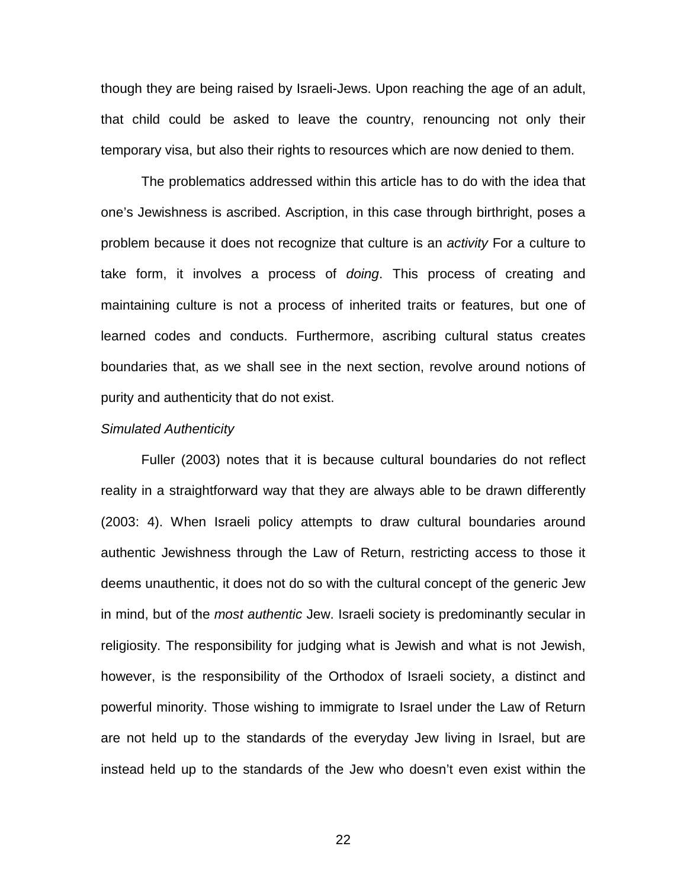though they are being raised by Israeli-Jews. Upon reaching the age of an adult, that child could be asked to leave the country, renouncing not only their temporary visa, but also their rights to resources which are now denied to them.

 The problematics addressed within this article has to do with the idea that one's Jewishness is ascribed. Ascription, in this case through birthright, poses a problem because it does not recognize that culture is an *activity* For a culture to take form, it involves a process of *doing*. This process of creating and maintaining culture is not a process of inherited traits or features, but one of learned codes and conducts. Furthermore, ascribing cultural status creates boundaries that, as we shall see in the next section, revolve around notions of purity and authenticity that do not exist.

#### *Simulated Authenticity*

 Fuller (2003) notes that it is because cultural boundaries do not reflect reality in a straightforward way that they are always able to be drawn differently (2003: 4). When Israeli policy attempts to draw cultural boundaries around authentic Jewishness through the Law of Return, restricting access to those it deems unauthentic, it does not do so with the cultural concept of the generic Jew in mind, but of the *most authentic* Jew. Israeli society is predominantly secular in religiosity. The responsibility for judging what is Jewish and what is not Jewish, however, is the responsibility of the Orthodox of Israeli society, a distinct and powerful minority. Those wishing to immigrate to Israel under the Law of Return are not held up to the standards of the everyday Jew living in Israel, but are instead held up to the standards of the Jew who doesn't even exist within the

<u>22 and 23 and 23 and 23 and 23 and 23 and 23 and 23 and 23 and 23 and 23 and 23 and 23 and 23 and 23 and 23 a</u>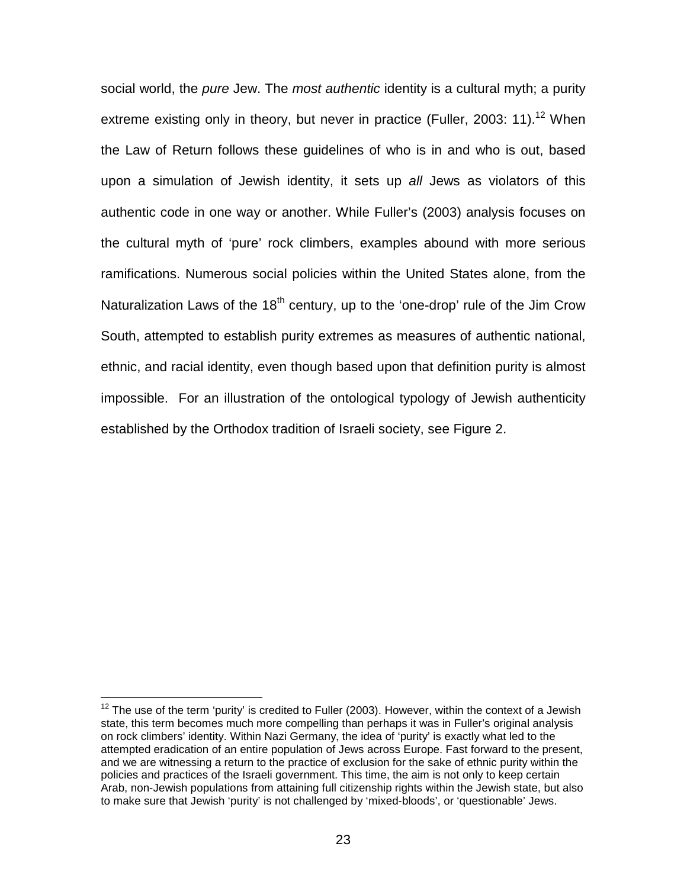social world, the *pure* Jew. The *most authentic* identity is a cultural myth; a purity extreme existing only in theory, but never in practice (Fuller, 2003: 11).<sup>12</sup> When the Law of Return follows these guidelines of who is in and who is out, based upon a simulation of Jewish identity, it sets up *all* Jews as violators of this authentic code in one way or another. While Fuller's (2003) analysis focuses on the cultural myth of 'pure' rock climbers, examples abound with more serious ramifications. Numerous social policies within the United States alone, from the Naturalization Laws of the  $18<sup>th</sup>$  century, up to the 'one-drop' rule of the Jim Crow South, attempted to establish purity extremes as measures of authentic national, ethnic, and racial identity, even though based upon that definition purity is almost impossible. For an illustration of the ontological typology of Jewish authenticity established by the Orthodox tradition of Israeli society, see Figure 2.

 $\overline{\phantom{a}}$ 

 $12$  The use of the term 'purity' is credited to Fuller (2003). However, within the context of a Jewish state, this term becomes much more compelling than perhaps it was in Fuller's original analysis on rock climbers' identity. Within Nazi Germany, the idea of 'purity' is exactly what led to the attempted eradication of an entire population of Jews across Europe. Fast forward to the present, and we are witnessing a return to the practice of exclusion for the sake of ethnic purity within the policies and practices of the Israeli government. This time, the aim is not only to keep certain Arab, non-Jewish populations from attaining full citizenship rights within the Jewish state, but also to make sure that Jewish 'purity' is not challenged by 'mixed-bloods', or 'questionable' Jews.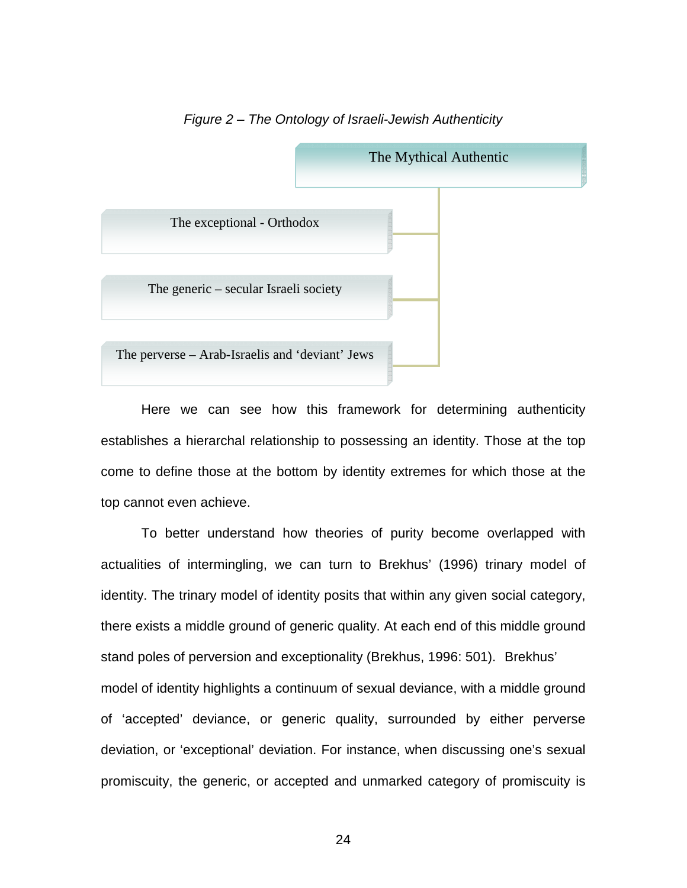

#### *Figure 2 – The Ontology of Israeli-Jewish Authenticity*

 Here we can see how this framework for determining authenticity establishes a hierarchal relationship to possessing an identity. Those at the top come to define those at the bottom by identity extremes for which those at the top cannot even achieve.

 To better understand how theories of purity become overlapped with actualities of intermingling, we can turn to Brekhus' (1996) trinary model of identity. The trinary model of identity posits that within any given social category, there exists a middle ground of generic quality. At each end of this middle ground stand poles of perversion and exceptionality (Brekhus, 1996: 501). Brekhus' model of identity highlights a continuum of sexual deviance, with a middle ground of 'accepted' deviance, or generic quality, surrounded by either perverse deviation, or 'exceptional' deviation. For instance, when discussing one's sexual promiscuity, the generic, or accepted and unmarked category of promiscuity is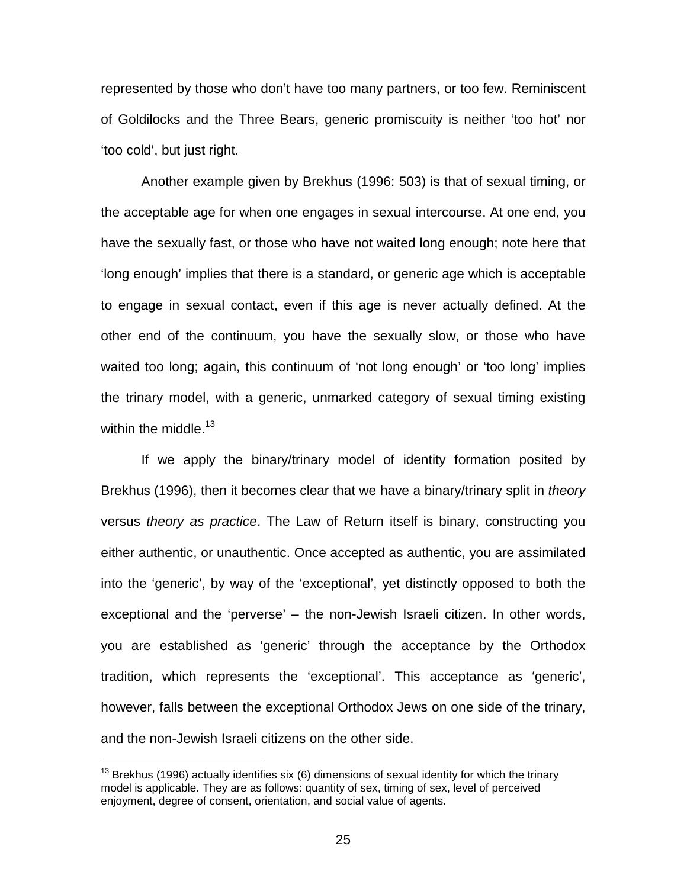represented by those who don't have too many partners, or too few. Reminiscent of Goldilocks and the Three Bears, generic promiscuity is neither 'too hot' nor 'too cold', but just right.

 Another example given by Brekhus (1996: 503) is that of sexual timing, or the acceptable age for when one engages in sexual intercourse. At one end, you have the sexually fast, or those who have not waited long enough; note here that 'long enough' implies that there is a standard, or generic age which is acceptable to engage in sexual contact, even if this age is never actually defined. At the other end of the continuum, you have the sexually slow, or those who have waited too long; again, this continuum of 'not long enough' or 'too long' implies the trinary model, with a generic, unmarked category of sexual timing existing within the middle. $13$ 

 If we apply the binary/trinary model of identity formation posited by Brekhus (1996), then it becomes clear that we have a binary/trinary split in *theory* versus *theory as practice*. The Law of Return itself is binary, constructing you either authentic, or unauthentic. Once accepted as authentic, you are assimilated into the 'generic', by way of the 'exceptional', yet distinctly opposed to both the exceptional and the 'perverse' – the non-Jewish Israeli citizen. In other words, you are established as 'generic' through the acceptance by the Orthodox tradition, which represents the 'exceptional'. This acceptance as 'generic', however, falls between the exceptional Orthodox Jews on one side of the trinary, and the non-Jewish Israeli citizens on the other side.

 $13$  Brekhus (1996) actually identifies six (6) dimensions of sexual identity for which the trinary model is applicable. They are as follows: quantity of sex, timing of sex, level of perceived enjoyment, degree of consent, orientation, and social value of agents.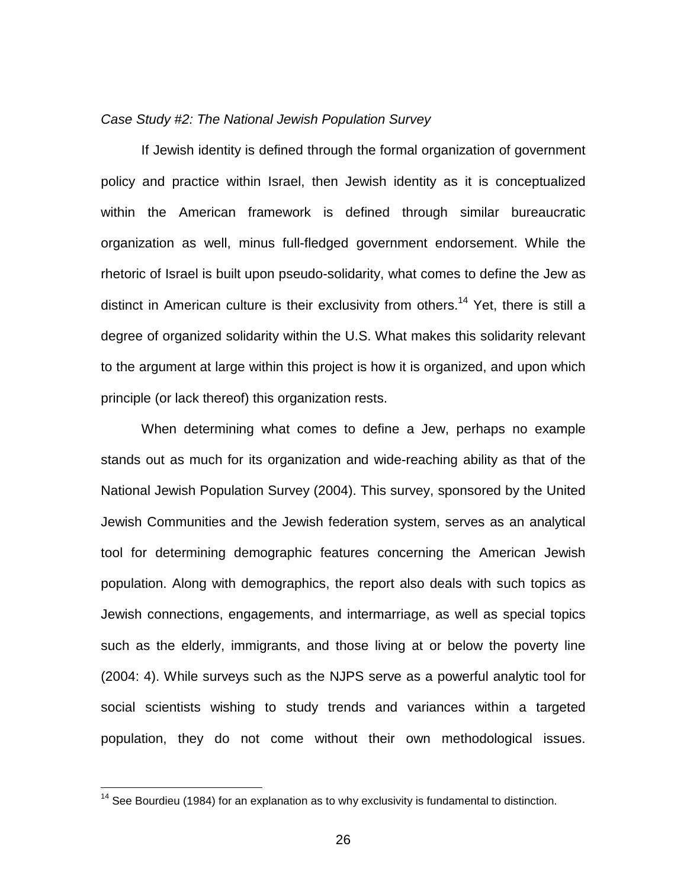#### *Case Study #2: The National Jewish Population Survey*

 If Jewish identity is defined through the formal organization of government policy and practice within Israel, then Jewish identity as it is conceptualized within the American framework is defined through similar bureaucratic organization as well, minus full-fledged government endorsement. While the rhetoric of Israel is built upon pseudo-solidarity, what comes to define the Jew as distinct in American culture is their exclusivity from others.<sup>14</sup> Yet, there is still a degree of organized solidarity within the U.S. What makes this solidarity relevant to the argument at large within this project is how it is organized, and upon which principle (or lack thereof) this organization rests.

 When determining what comes to define a Jew, perhaps no example stands out as much for its organization and wide-reaching ability as that of the National Jewish Population Survey (2004). This survey, sponsored by the United Jewish Communities and the Jewish federation system, serves as an analytical tool for determining demographic features concerning the American Jewish population. Along with demographics, the report also deals with such topics as Jewish connections, engagements, and intermarriage, as well as special topics such as the elderly, immigrants, and those living at or below the poverty line (2004: 4). While surveys such as the NJPS serve as a powerful analytic tool for social scientists wishing to study trends and variances within a targeted population, they do not come without their own methodological issues.

 $14$  See Bourdieu (1984) for an explanation as to why exclusivity is fundamental to distinction.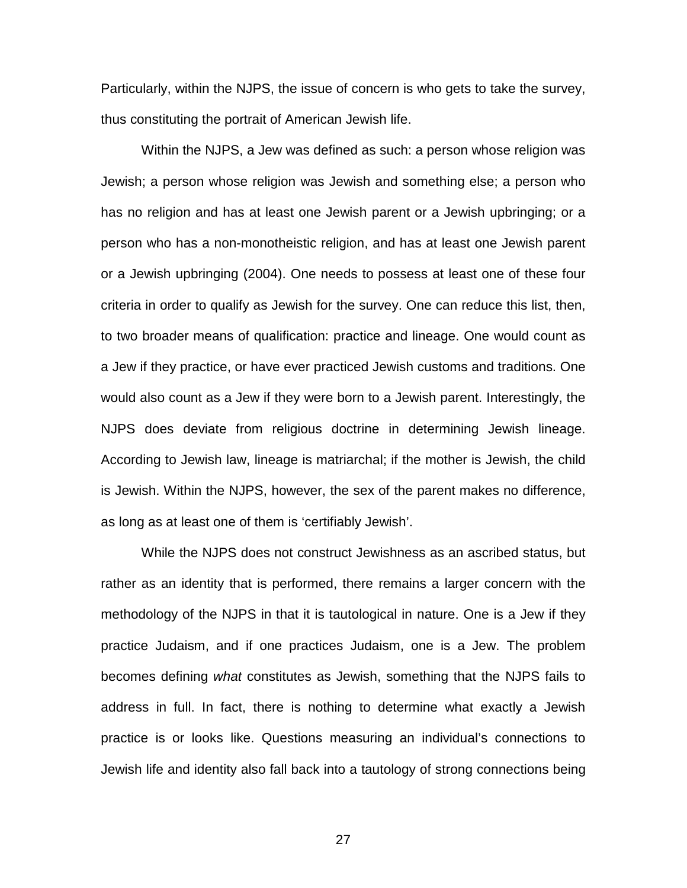Particularly, within the NJPS, the issue of concern is who gets to take the survey, thus constituting the portrait of American Jewish life.

 Within the NJPS, a Jew was defined as such: a person whose religion was Jewish; a person whose religion was Jewish and something else; a person who has no religion and has at least one Jewish parent or a Jewish upbringing; or a person who has a non-monotheistic religion, and has at least one Jewish parent or a Jewish upbringing (2004). One needs to possess at least one of these four criteria in order to qualify as Jewish for the survey. One can reduce this list, then, to two broader means of qualification: practice and lineage. One would count as a Jew if they practice, or have ever practiced Jewish customs and traditions. One would also count as a Jew if they were born to a Jewish parent. Interestingly, the NJPS does deviate from religious doctrine in determining Jewish lineage. According to Jewish law, lineage is matriarchal; if the mother is Jewish, the child is Jewish. Within the NJPS, however, the sex of the parent makes no difference, as long as at least one of them is 'certifiably Jewish'.

 While the NJPS does not construct Jewishness as an ascribed status, but rather as an identity that is performed, there remains a larger concern with the methodology of the NJPS in that it is tautological in nature. One is a Jew if they practice Judaism, and if one practices Judaism, one is a Jew. The problem becomes defining *what* constitutes as Jewish, something that the NJPS fails to address in full. In fact, there is nothing to determine what exactly a Jewish practice is or looks like. Questions measuring an individual's connections to Jewish life and identity also fall back into a tautology of strong connections being

<u>27 and 27 and 27 and 27 and 27 and 27 and 27 and 27 and 27 and 27 and 27 and 27 and 27 and 27 and 27 and 27 and 27 and 27 and 27 and 27 and 27 and 27 and 27 and 27 and 27 and 27 and 27 and 27 and 27 and 27 and 27 and 27 a</u>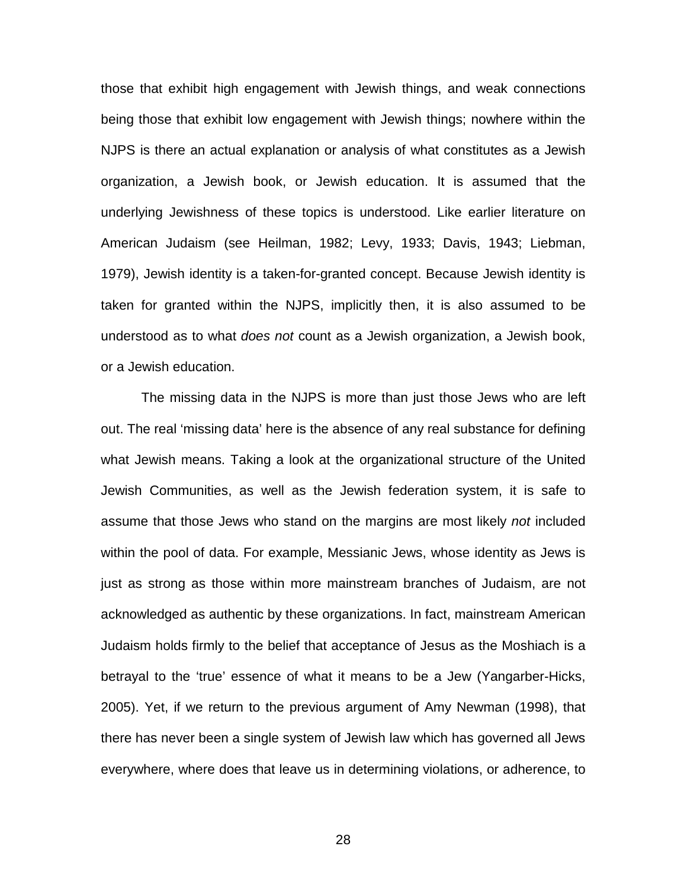those that exhibit high engagement with Jewish things, and weak connections being those that exhibit low engagement with Jewish things; nowhere within the NJPS is there an actual explanation or analysis of what constitutes as a Jewish organization, a Jewish book, or Jewish education. It is assumed that the underlying Jewishness of these topics is understood. Like earlier literature on American Judaism (see Heilman, 1982; Levy, 1933; Davis, 1943; Liebman, 1979), Jewish identity is a taken-for-granted concept. Because Jewish identity is taken for granted within the NJPS, implicitly then, it is also assumed to be understood as to what *does not* count as a Jewish organization, a Jewish book, or a Jewish education.

 The missing data in the NJPS is more than just those Jews who are left out. The real 'missing data' here is the absence of any real substance for defining what Jewish means. Taking a look at the organizational structure of the United Jewish Communities, as well as the Jewish federation system, it is safe to assume that those Jews who stand on the margins are most likely *not* included within the pool of data. For example, Messianic Jews, whose identity as Jews is just as strong as those within more mainstream branches of Judaism, are not acknowledged as authentic by these organizations. In fact, mainstream American Judaism holds firmly to the belief that acceptance of Jesus as the Moshiach is a betrayal to the 'true' essence of what it means to be a Jew (Yangarber-Hicks, 2005). Yet, if we return to the previous argument of Amy Newman (1998), that there has never been a single system of Jewish law which has governed all Jews everywhere, where does that leave us in determining violations, or adherence, to

<u>28 and 28 and 28 and 28 and 28 and 28 and 28 and 28 and 28 and 28 and 28 and 28 and 28 and 28 and 28 and 28 a</u>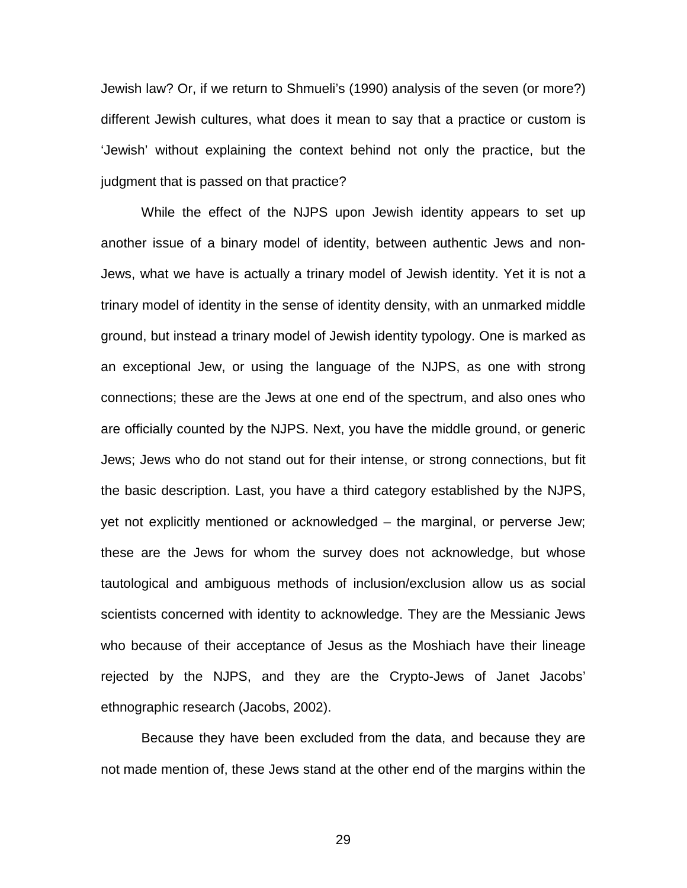Jewish law? Or, if we return to Shmueli's (1990) analysis of the seven (or more?) different Jewish cultures, what does it mean to say that a practice or custom is 'Jewish' without explaining the context behind not only the practice, but the judgment that is passed on that practice?

 While the effect of the NJPS upon Jewish identity appears to set up another issue of a binary model of identity, between authentic Jews and non-Jews, what we have is actually a trinary model of Jewish identity. Yet it is not a trinary model of identity in the sense of identity density, with an unmarked middle ground, but instead a trinary model of Jewish identity typology. One is marked as an exceptional Jew, or using the language of the NJPS, as one with strong connections; these are the Jews at one end of the spectrum, and also ones who are officially counted by the NJPS. Next, you have the middle ground, or generic Jews; Jews who do not stand out for their intense, or strong connections, but fit the basic description. Last, you have a third category established by the NJPS, yet not explicitly mentioned or acknowledged – the marginal, or perverse Jew; these are the Jews for whom the survey does not acknowledge, but whose tautological and ambiguous methods of inclusion/exclusion allow us as social scientists concerned with identity to acknowledge. They are the Messianic Jews who because of their acceptance of Jesus as the Moshiach have their lineage rejected by the NJPS, and they are the Crypto-Jews of Janet Jacobs' ethnographic research (Jacobs, 2002).

 Because they have been excluded from the data, and because they are not made mention of, these Jews stand at the other end of the margins within the

<u>29 and 29 and 29 and 29 and 29 and 29 and 29 and 29 and 29 and 29 and 29 and 29 and 29 and 29 and 29 and 29 and 29 and 29 and 29 and 29 and 29 and 29 and 2012 and 2012 and 2012 and 2012 and 2012 and 2012 and 2012 and 2012</u>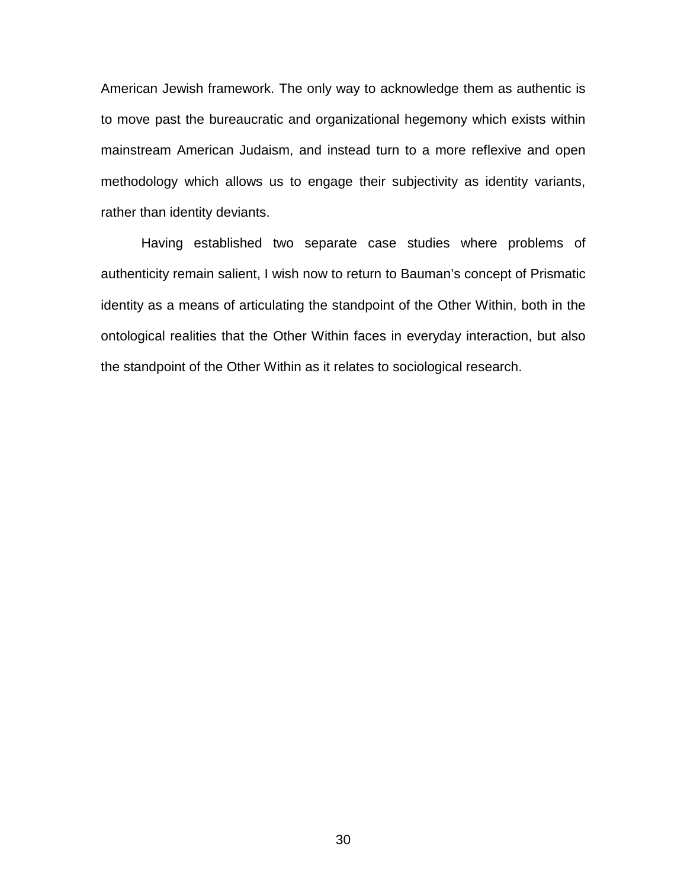American Jewish framework. The only way to acknowledge them as authentic is to move past the bureaucratic and organizational hegemony which exists within mainstream American Judaism, and instead turn to a more reflexive and open methodology which allows us to engage their subjectivity as identity variants, rather than identity deviants.

 Having established two separate case studies where problems of authenticity remain salient, I wish now to return to Bauman's concept of Prismatic identity as a means of articulating the standpoint of the Other Within, both in the ontological realities that the Other Within faces in everyday interaction, but also the standpoint of the Other Within as it relates to sociological research.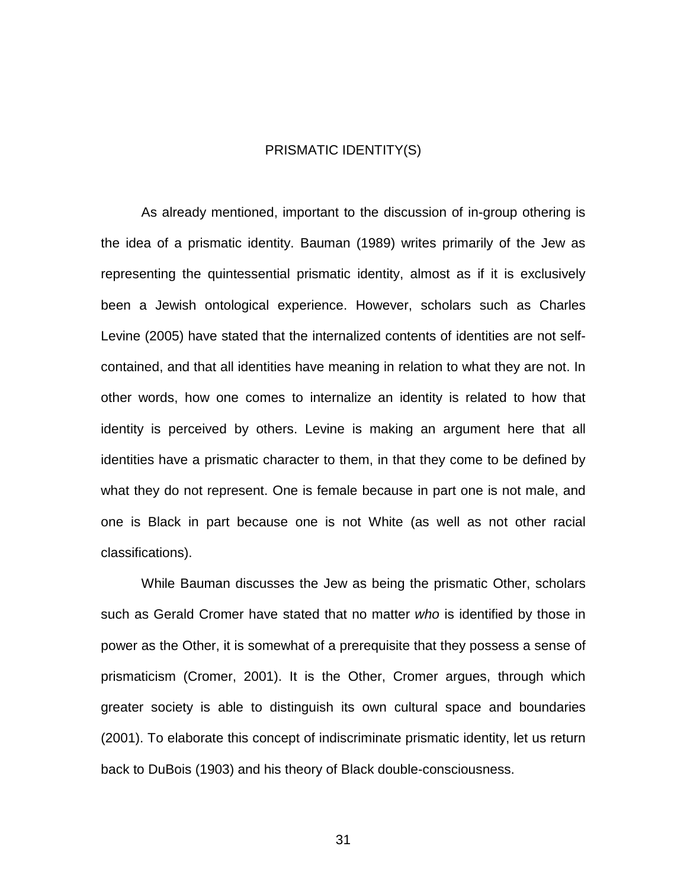#### PRISMATIC IDENTITY(S)

 As already mentioned, important to the discussion of in-group othering is the idea of a prismatic identity. Bauman (1989) writes primarily of the Jew as representing the quintessential prismatic identity, almost as if it is exclusively been a Jewish ontological experience. However, scholars such as Charles Levine (2005) have stated that the internalized contents of identities are not selfcontained, and that all identities have meaning in relation to what they are not. In other words, how one comes to internalize an identity is related to how that identity is perceived by others. Levine is making an argument here that all identities have a prismatic character to them, in that they come to be defined by what they do not represent. One is female because in part one is not male, and one is Black in part because one is not White (as well as not other racial classifications).

 While Bauman discusses the Jew as being the prismatic Other, scholars such as Gerald Cromer have stated that no matter *who* is identified by those in power as the Other, it is somewhat of a prerequisite that they possess a sense of prismaticism (Cromer, 2001). It is the Other, Cromer argues, through which greater society is able to distinguish its own cultural space and boundaries (2001). To elaborate this concept of indiscriminate prismatic identity, let us return back to DuBois (1903) and his theory of Black double-consciousness.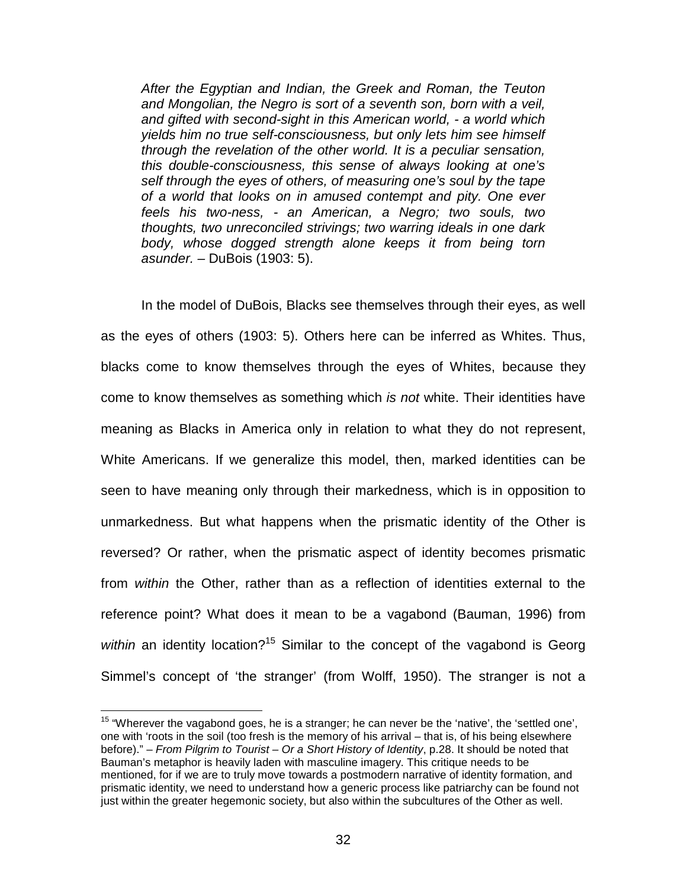*After the Egyptian and Indian, the Greek and Roman, the Teuton and Mongolian, the Negro is sort of a seventh son, born with a veil, and gifted with second-sight in this American world, - a world which yields him no true self-consciousness, but only lets him see himself through the revelation of the other world. It is a peculiar sensation, this double-consciousness, this sense of always looking at one's self through the eyes of others, of measuring one's soul by the tape of a world that looks on in amused contempt and pity. One ever feels his two-ness, - an American, a Negro; two souls, two thoughts, two unreconciled strivings; two warring ideals in one dark body, whose dogged strength alone keeps it from being torn asunder. –* DuBois (1903: 5).

 In the model of DuBois, Blacks see themselves through their eyes, as well as the eyes of others (1903: 5). Others here can be inferred as Whites. Thus, blacks come to know themselves through the eyes of Whites, because they come to know themselves as something which *is not* white. Their identities have meaning as Blacks in America only in relation to what they do not represent, White Americans. If we generalize this model, then, marked identities can be seen to have meaning only through their markedness, which is in opposition to unmarkedness. But what happens when the prismatic identity of the Other is reversed? Or rather, when the prismatic aspect of identity becomes prismatic from *within* the Other, rather than as a reflection of identities external to the reference point? What does it mean to be a vagabond (Bauman, 1996) from within an identity location?<sup>15</sup> Similar to the concept of the vagabond is Georg Simmel's concept of 'the stranger' (from Wolff, 1950). The stranger is not a

 $15$  "Wherever the vagabond goes, he is a stranger; he can never be the 'native', the 'settled one', one with 'roots in the soil (too fresh is the memory of his arrival – that is, of his being elsewhere before)." – *From Pilgrim to Tourist – Or a Short History of Identity*, p.28. It should be noted that Bauman's metaphor is heavily laden with masculine imagery. This critique needs to be mentioned, for if we are to truly move towards a postmodern narrative of identity formation, and prismatic identity, we need to understand how a generic process like patriarchy can be found not just within the greater hegemonic society, but also within the subcultures of the Other as well.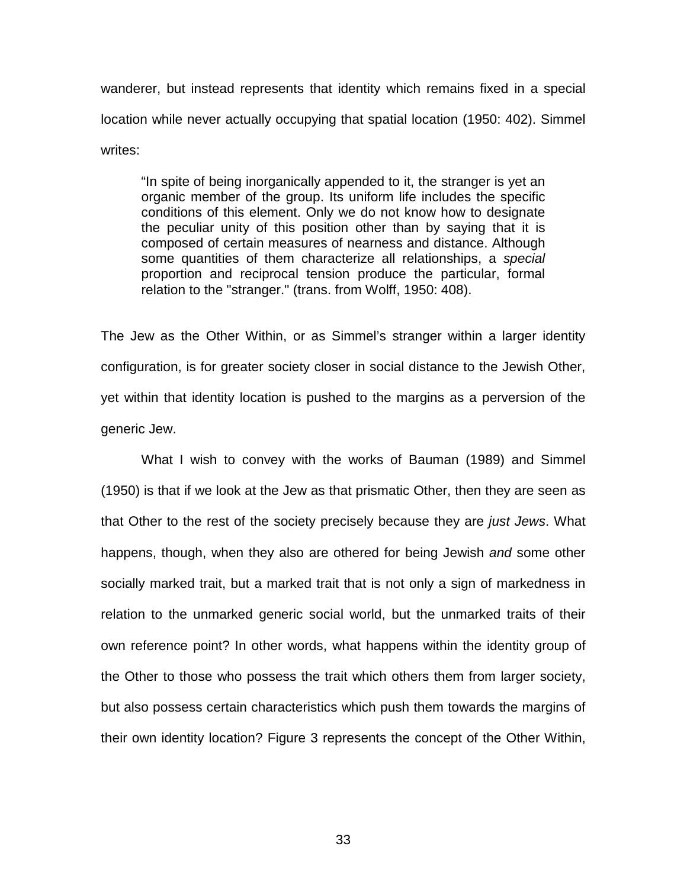wanderer, but instead represents that identity which remains fixed in a special location while never actually occupying that spatial location (1950: 402). Simmel writes:

 "In spite of being inorganically appended to it, the stranger is yet an organic member of the group. Its uniform life includes the specific conditions of this element. Only we do not know how to designate the peculiar unity of this position other than by saying that it is composed of certain measures of nearness and distance. Although some quantities of them characterize all relationships, a *special* proportion and reciprocal tension produce the particular, formal relation to the "stranger." (trans. from Wolff, 1950: 408).

The Jew as the Other Within, or as Simmel's stranger within a larger identity configuration, is for greater society closer in social distance to the Jewish Other, yet within that identity location is pushed to the margins as a perversion of the generic Jew.

 What I wish to convey with the works of Bauman (1989) and Simmel (1950) is that if we look at the Jew as that prismatic Other, then they are seen as that Other to the rest of the society precisely because they are *just Jews*. What happens, though, when they also are othered for being Jewish *and* some other socially marked trait, but a marked trait that is not only a sign of markedness in relation to the unmarked generic social world, but the unmarked traits of their own reference point? In other words, what happens within the identity group of the Other to those who possess the trait which others them from larger society, but also possess certain characteristics which push them towards the margins of their own identity location? Figure 3 represents the concept of the Other Within,

33 and 2010 and 2010 and 2010 and 2010 and 2010 and 2010 and 2010 and 2010 and 2010 and 2010 and 2010 and 2010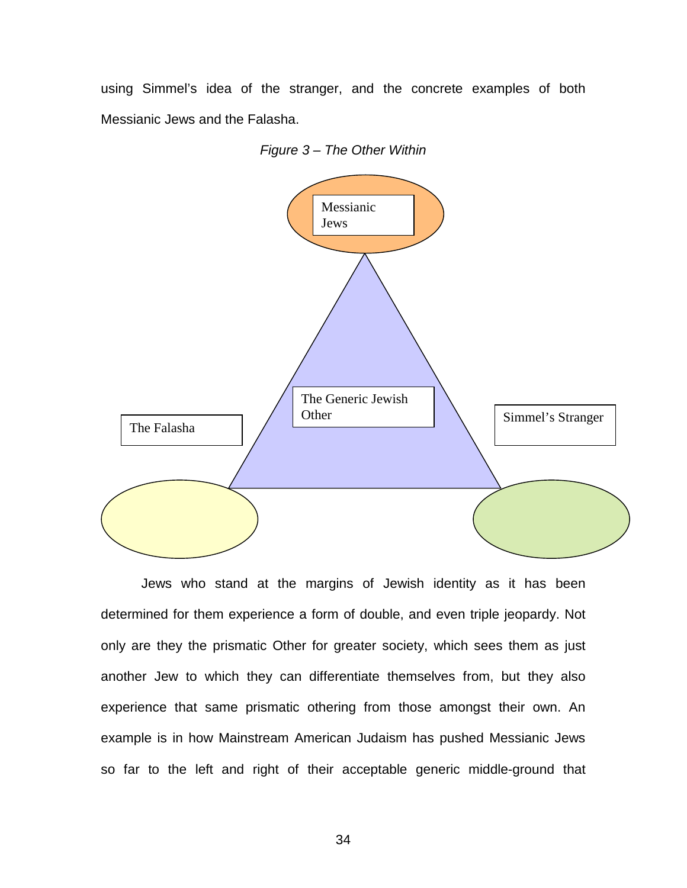using Simmel's idea of the stranger, and the concrete examples of both Messianic Jews and the Falasha.

*Figure 3 – The Other Within*



 Jews who stand at the margins of Jewish identity as it has been determined for them experience a form of double, and even triple jeopardy. Not only are they the prismatic Other for greater society, which sees them as just another Jew to which they can differentiate themselves from, but they also experience that same prismatic othering from those amongst their own. An example is in how Mainstream American Judaism has pushed Messianic Jews so far to the left and right of their acceptable generic middle-ground that

<u>34 and 2012</u>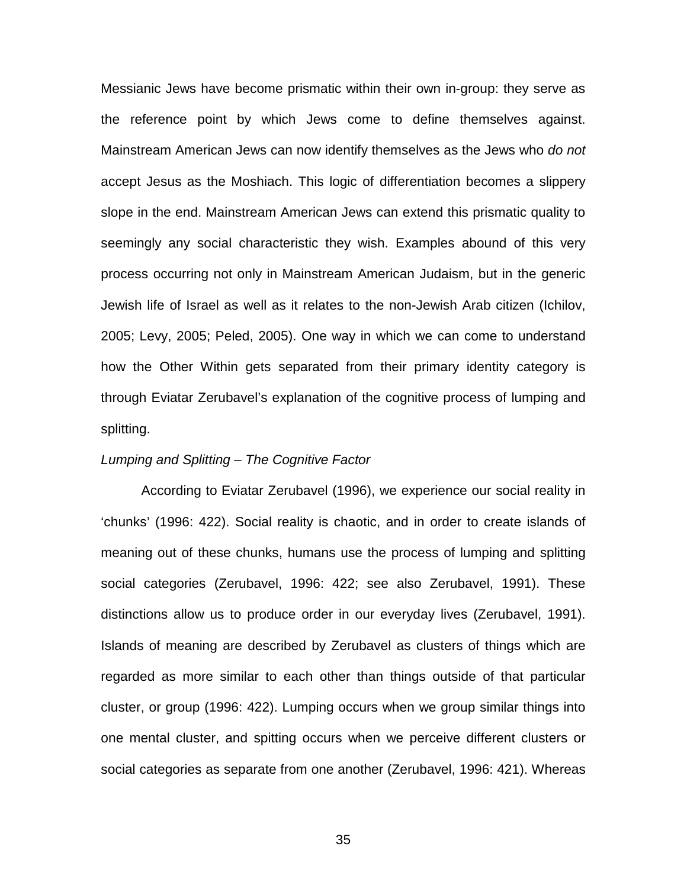Messianic Jews have become prismatic within their own in-group: they serve as the reference point by which Jews come to define themselves against. Mainstream American Jews can now identify themselves as the Jews who *do not*  accept Jesus as the Moshiach. This logic of differentiation becomes a slippery slope in the end. Mainstream American Jews can extend this prismatic quality to seemingly any social characteristic they wish. Examples abound of this very process occurring not only in Mainstream American Judaism, but in the generic Jewish life of Israel as well as it relates to the non-Jewish Arab citizen (Ichilov, 2005; Levy, 2005; Peled, 2005). One way in which we can come to understand how the Other Within gets separated from their primary identity category is through Eviatar Zerubavel's explanation of the cognitive process of lumping and splitting.

#### *Lumping and Splitting – The Cognitive Factor*

 According to Eviatar Zerubavel (1996), we experience our social reality in 'chunks' (1996: 422). Social reality is chaotic, and in order to create islands of meaning out of these chunks, humans use the process of lumping and splitting social categories (Zerubavel, 1996: 422; see also Zerubavel, 1991). These distinctions allow us to produce order in our everyday lives (Zerubavel, 1991). Islands of meaning are described by Zerubavel as clusters of things which are regarded as more similar to each other than things outside of that particular cluster, or group (1996: 422). Lumping occurs when we group similar things into one mental cluster, and spitting occurs when we perceive different clusters or social categories as separate from one another (Zerubavel, 1996: 421). Whereas

<u>35 and 2008 and 2008 and 2009 and 2009 and 2009 and 2009 and 2009 and 2009 and 2009 and 2009 and 2009 and 200</u>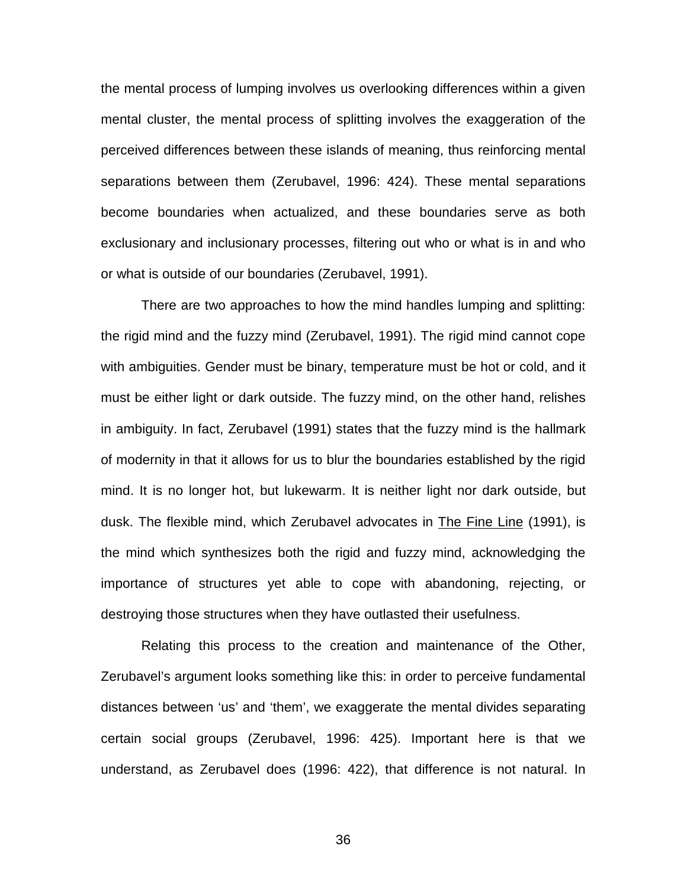the mental process of lumping involves us overlooking differences within a given mental cluster, the mental process of splitting involves the exaggeration of the perceived differences between these islands of meaning, thus reinforcing mental separations between them (Zerubavel, 1996: 424). These mental separations become boundaries when actualized, and these boundaries serve as both exclusionary and inclusionary processes, filtering out who or what is in and who or what is outside of our boundaries (Zerubavel, 1991).

 There are two approaches to how the mind handles lumping and splitting: the rigid mind and the fuzzy mind (Zerubavel, 1991). The rigid mind cannot cope with ambiguities. Gender must be binary, temperature must be hot or cold, and it must be either light or dark outside. The fuzzy mind, on the other hand, relishes in ambiguity. In fact, Zerubavel (1991) states that the fuzzy mind is the hallmark of modernity in that it allows for us to blur the boundaries established by the rigid mind. It is no longer hot, but lukewarm. It is neither light nor dark outside, but dusk. The flexible mind, which Zerubavel advocates in The Fine Line (1991), is the mind which synthesizes both the rigid and fuzzy mind, acknowledging the importance of structures yet able to cope with abandoning, rejecting, or destroying those structures when they have outlasted their usefulness.

 Relating this process to the creation and maintenance of the Other, Zerubavel's argument looks something like this: in order to perceive fundamental distances between 'us' and 'them', we exaggerate the mental divides separating certain social groups (Zerubavel, 1996: 425). Important here is that we understand, as Zerubavel does (1996: 422), that difference is not natural. In

<u>36 - John Stein, amerikansk skriuwstrate</u>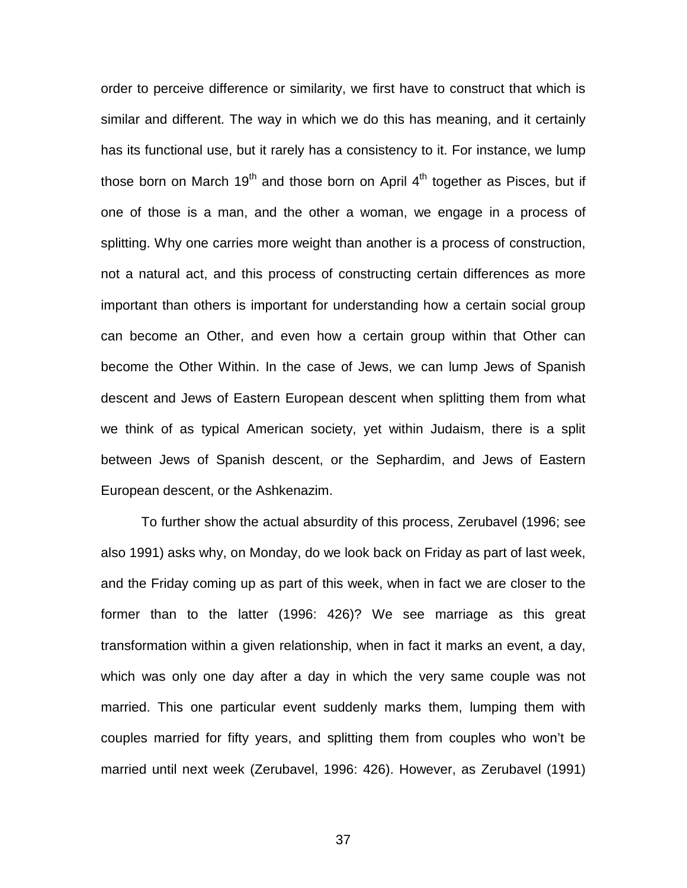order to perceive difference or similarity, we first have to construct that which is similar and different. The way in which we do this has meaning, and it certainly has its functional use, but it rarely has a consistency to it. For instance, we lump those born on March  $19<sup>th</sup>$  and those born on April  $4<sup>th</sup>$  together as Pisces, but if one of those is a man, and the other a woman, we engage in a process of splitting. Why one carries more weight than another is a process of construction, not a natural act, and this process of constructing certain differences as more important than others is important for understanding how a certain social group can become an Other, and even how a certain group within that Other can become the Other Within. In the case of Jews, we can lump Jews of Spanish descent and Jews of Eastern European descent when splitting them from what we think of as typical American society, yet within Judaism, there is a split between Jews of Spanish descent, or the Sephardim, and Jews of Eastern European descent, or the Ashkenazim.

 To further show the actual absurdity of this process, Zerubavel (1996; see also 1991) asks why, on Monday, do we look back on Friday as part of last week, and the Friday coming up as part of this week, when in fact we are closer to the former than to the latter (1996: 426)? We see marriage as this great transformation within a given relationship, when in fact it marks an event, a day, which was only one day after a day in which the very same couple was not married. This one particular event suddenly marks them, lumping them with couples married for fifty years, and splitting them from couples who won't be married until next week (Zerubavel, 1996: 426). However, as Zerubavel (1991)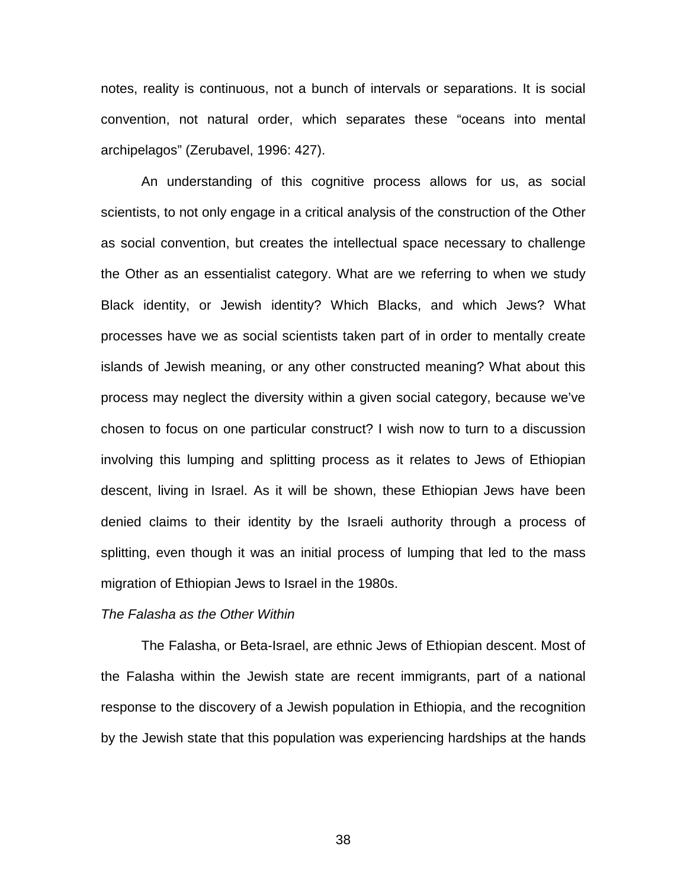notes, reality is continuous, not a bunch of intervals or separations. It is social convention, not natural order, which separates these "oceans into mental archipelagos" (Zerubavel, 1996: 427).

 An understanding of this cognitive process allows for us, as social scientists, to not only engage in a critical analysis of the construction of the Other as social convention, but creates the intellectual space necessary to challenge the Other as an essentialist category. What are we referring to when we study Black identity, or Jewish identity? Which Blacks, and which Jews? What processes have we as social scientists taken part of in order to mentally create islands of Jewish meaning, or any other constructed meaning? What about this process may neglect the diversity within a given social category, because we've chosen to focus on one particular construct? I wish now to turn to a discussion involving this lumping and splitting process as it relates to Jews of Ethiopian descent, living in Israel. As it will be shown, these Ethiopian Jews have been denied claims to their identity by the Israeli authority through a process of splitting, even though it was an initial process of lumping that led to the mass migration of Ethiopian Jews to Israel in the 1980s.

#### *The Falasha as the Other Within*

 The Falasha, or Beta-Israel, are ethnic Jews of Ethiopian descent. Most of the Falasha within the Jewish state are recent immigrants, part of a national response to the discovery of a Jewish population in Ethiopia, and the recognition by the Jewish state that this population was experiencing hardships at the hands

38 and 2012 and 2013 and 2014 and 2014 and 2014 and 2014 and 2014 and 2014 and 2014 and 2014 and 201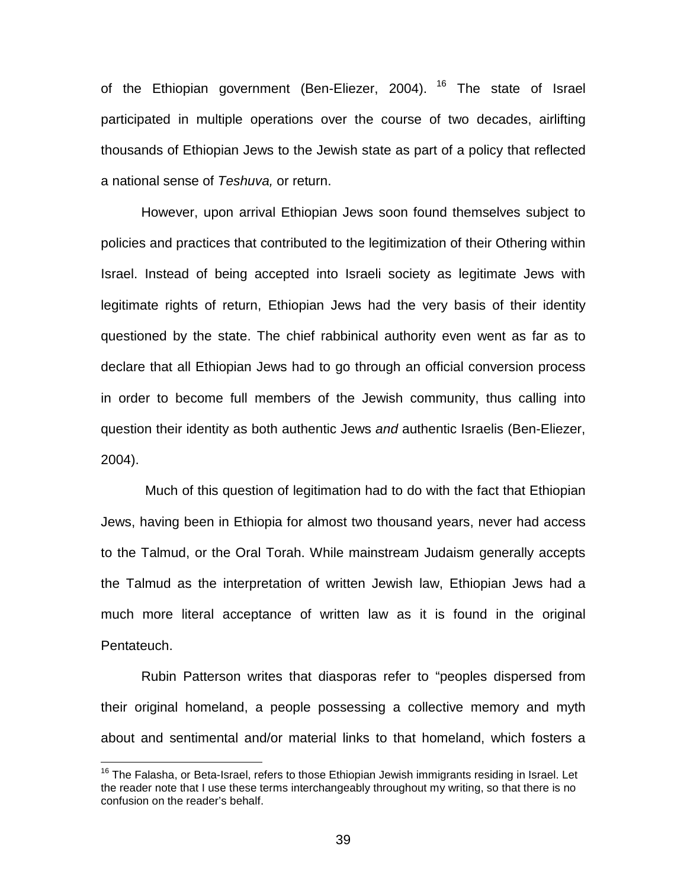of the Ethiopian government (Ben-Eliezer, 2004). <sup>16</sup> The state of Israel participated in multiple operations over the course of two decades, airlifting thousands of Ethiopian Jews to the Jewish state as part of a policy that reflected a national sense of *Teshuva,* or return.

 However, upon arrival Ethiopian Jews soon found themselves subject to policies and practices that contributed to the legitimization of their Othering within Israel. Instead of being accepted into Israeli society as legitimate Jews with legitimate rights of return, Ethiopian Jews had the very basis of their identity questioned by the state. The chief rabbinical authority even went as far as to declare that all Ethiopian Jews had to go through an official conversion process in order to become full members of the Jewish community, thus calling into question their identity as both authentic Jews *and* authentic Israelis (Ben-Eliezer, 2004).

 Much of this question of legitimation had to do with the fact that Ethiopian Jews, having been in Ethiopia for almost two thousand years, never had access to the Talmud, or the Oral Torah. While mainstream Judaism generally accepts the Talmud as the interpretation of written Jewish law, Ethiopian Jews had a much more literal acceptance of written law as it is found in the original Pentateuch.

 Rubin Patterson writes that diasporas refer to "peoples dispersed from their original homeland, a people possessing a collective memory and myth about and sentimental and/or material links to that homeland, which fosters a

<sup>&</sup>lt;sup>16</sup> The Falasha, or Beta-Israel, refers to those Ethiopian Jewish immigrants residing in Israel. Let the reader note that I use these terms interchangeably throughout my writing, so that there is no confusion on the reader's behalf.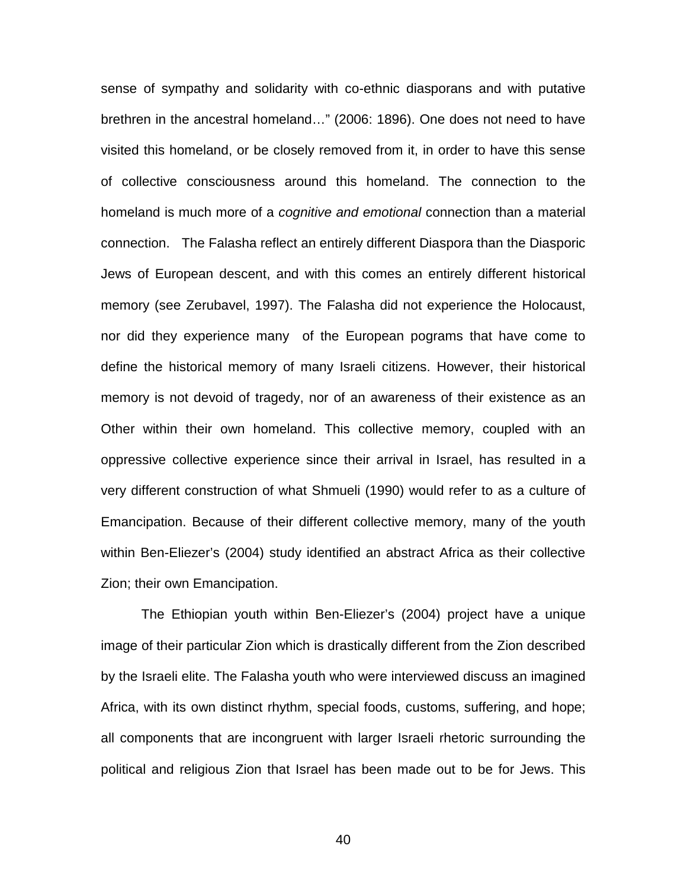sense of sympathy and solidarity with co-ethnic diasporans and with putative brethren in the ancestral homeland…" (2006: 1896). One does not need to have visited this homeland, or be closely removed from it, in order to have this sense of collective consciousness around this homeland. The connection to the homeland is much more of a *cognitive and emotional* connection than a material connection. The Falasha reflect an entirely different Diaspora than the Diasporic Jews of European descent, and with this comes an entirely different historical memory (see Zerubavel, 1997). The Falasha did not experience the Holocaust, nor did they experience many of the European pograms that have come to define the historical memory of many Israeli citizens. However, their historical memory is not devoid of tragedy, nor of an awareness of their existence as an Other within their own homeland. This collective memory, coupled with an oppressive collective experience since their arrival in Israel, has resulted in a very different construction of what Shmueli (1990) would refer to as a culture of Emancipation. Because of their different collective memory, many of the youth within Ben-Eliezer's (2004) study identified an abstract Africa as their collective Zion; their own Emancipation.

 The Ethiopian youth within Ben-Eliezer's (2004) project have a unique image of their particular Zion which is drastically different from the Zion described by the Israeli elite. The Falasha youth who were interviewed discuss an imagined Africa, with its own distinct rhythm, special foods, customs, suffering, and hope; all components that are incongruent with larger Israeli rhetoric surrounding the political and religious Zion that Israel has been made out to be for Jews. This

<u>40</u>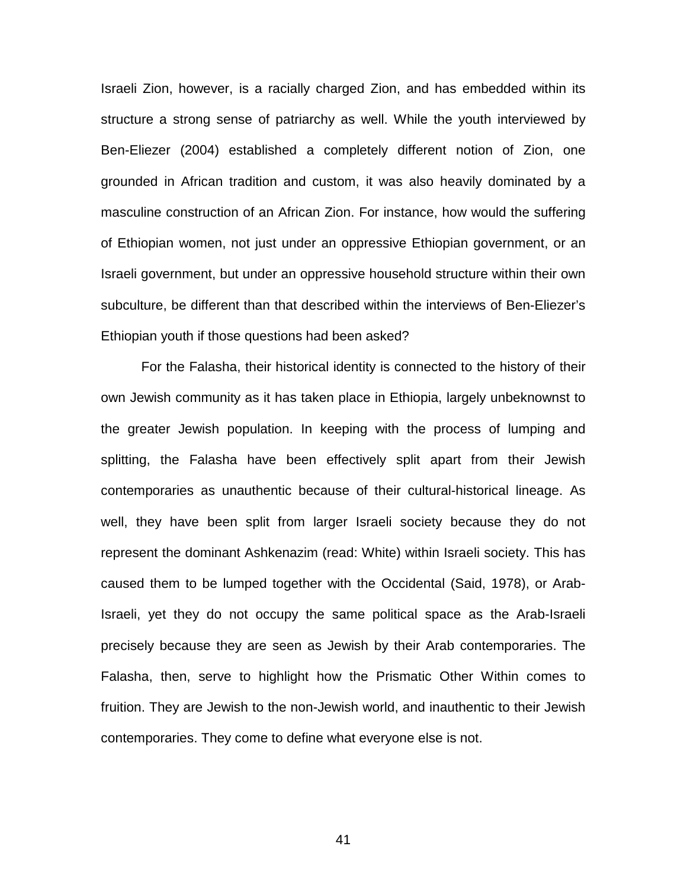Israeli Zion, however, is a racially charged Zion, and has embedded within its structure a strong sense of patriarchy as well. While the youth interviewed by Ben-Eliezer (2004) established a completely different notion of Zion, one grounded in African tradition and custom, it was also heavily dominated by a masculine construction of an African Zion. For instance, how would the suffering of Ethiopian women, not just under an oppressive Ethiopian government, or an Israeli government, but under an oppressive household structure within their own subculture, be different than that described within the interviews of Ben-Eliezer's Ethiopian youth if those questions had been asked?

 For the Falasha, their historical identity is connected to the history of their own Jewish community as it has taken place in Ethiopia, largely unbeknownst to the greater Jewish population. In keeping with the process of lumping and splitting, the Falasha have been effectively split apart from their Jewish contemporaries as unauthentic because of their cultural-historical lineage. As well, they have been split from larger Israeli society because they do not represent the dominant Ashkenazim (read: White) within Israeli society. This has caused them to be lumped together with the Occidental (Said, 1978), or Arab-Israeli, yet they do not occupy the same political space as the Arab-Israeli precisely because they are seen as Jewish by their Arab contemporaries. The Falasha, then, serve to highlight how the Prismatic Other Within comes to fruition. They are Jewish to the non-Jewish world, and inauthentic to their Jewish contemporaries. They come to define what everyone else is not.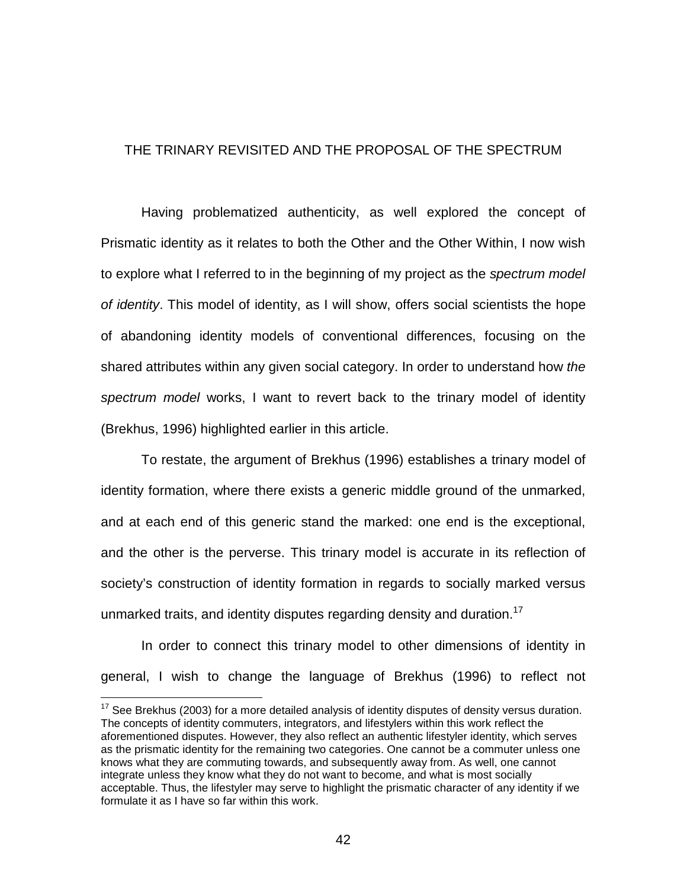### THE TRINARY REVISITED AND THE PROPOSAL OF THE SPECTRUM

 Having problematized authenticity, as well explored the concept of Prismatic identity as it relates to both the Other and the Other Within, I now wish to explore what I referred to in the beginning of my project as the *spectrum model of identity*. This model of identity, as I will show, offers social scientists the hope of abandoning identity models of conventional differences, focusing on the shared attributes within any given social category. In order to understand how *the spectrum model* works, I want to revert back to the trinary model of identity (Brekhus, 1996) highlighted earlier in this article.

 To restate, the argument of Brekhus (1996) establishes a trinary model of identity formation, where there exists a generic middle ground of the unmarked, and at each end of this generic stand the marked: one end is the exceptional, and the other is the perverse. This trinary model is accurate in its reflection of society's construction of identity formation in regards to socially marked versus unmarked traits, and identity disputes regarding density and duration.<sup>17</sup>

 In order to connect this trinary model to other dimensions of identity in general, I wish to change the language of Brekhus (1996) to reflect not

 $17$  See Brekhus (2003) for a more detailed analysis of identity disputes of density versus duration. The concepts of identity commuters, integrators, and lifestylers within this work reflect the aforementioned disputes. However, they also reflect an authentic lifestyler identity, which serves as the prismatic identity for the remaining two categories. One cannot be a commuter unless one knows what they are commuting towards, and subsequently away from. As well, one cannot integrate unless they know what they do not want to become, and what is most socially acceptable. Thus, the lifestyler may serve to highlight the prismatic character of any identity if we formulate it as I have so far within this work.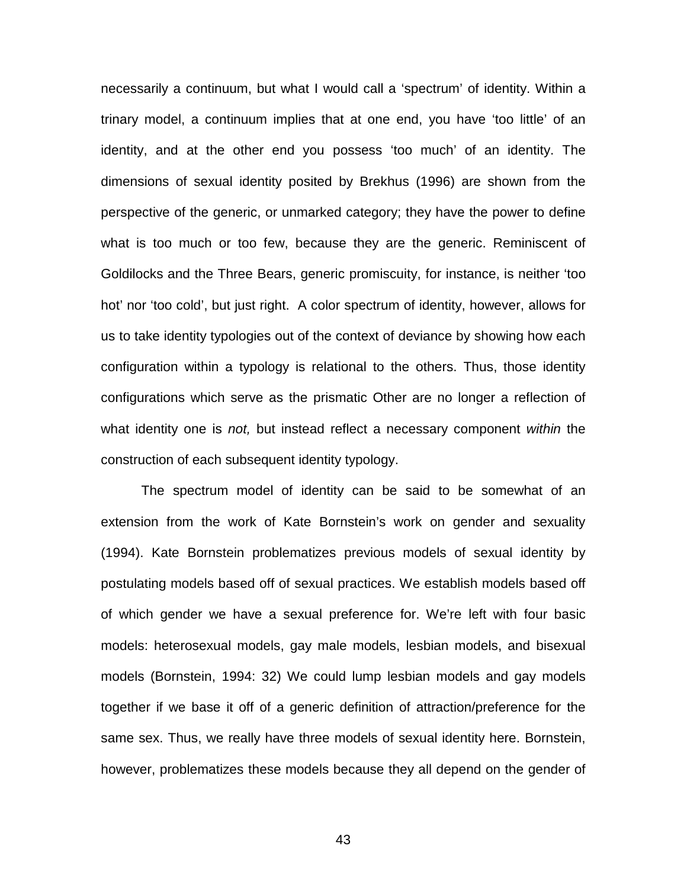necessarily a continuum, but what I would call a 'spectrum' of identity. Within a trinary model, a continuum implies that at one end, you have 'too little' of an identity, and at the other end you possess 'too much' of an identity. The dimensions of sexual identity posited by Brekhus (1996) are shown from the perspective of the generic, or unmarked category; they have the power to define what is too much or too few, because they are the generic. Reminiscent of Goldilocks and the Three Bears, generic promiscuity, for instance, is neither 'too hot' nor 'too cold', but just right. A color spectrum of identity, however, allows for us to take identity typologies out of the context of deviance by showing how each configuration within a typology is relational to the others. Thus, those identity configurations which serve as the prismatic Other are no longer a reflection of what identity one is *not,* but instead reflect a necessary component *within* the construction of each subsequent identity typology.

 The spectrum model of identity can be said to be somewhat of an extension from the work of Kate Bornstein's work on gender and sexuality (1994). Kate Bornstein problematizes previous models of sexual identity by postulating models based off of sexual practices. We establish models based off of which gender we have a sexual preference for. We're left with four basic models: heterosexual models, gay male models, lesbian models, and bisexual models (Bornstein, 1994: 32) We could lump lesbian models and gay models together if we base it off of a generic definition of attraction/preference for the same sex. Thus, we really have three models of sexual identity here. Bornstein, however, problematizes these models because they all depend on the gender of

43 and 2012 and 2014 and 2014 and 2014 and 2014 and 2014 and 2014 and 2014 and 2014 and 2014 and 2014 and 2014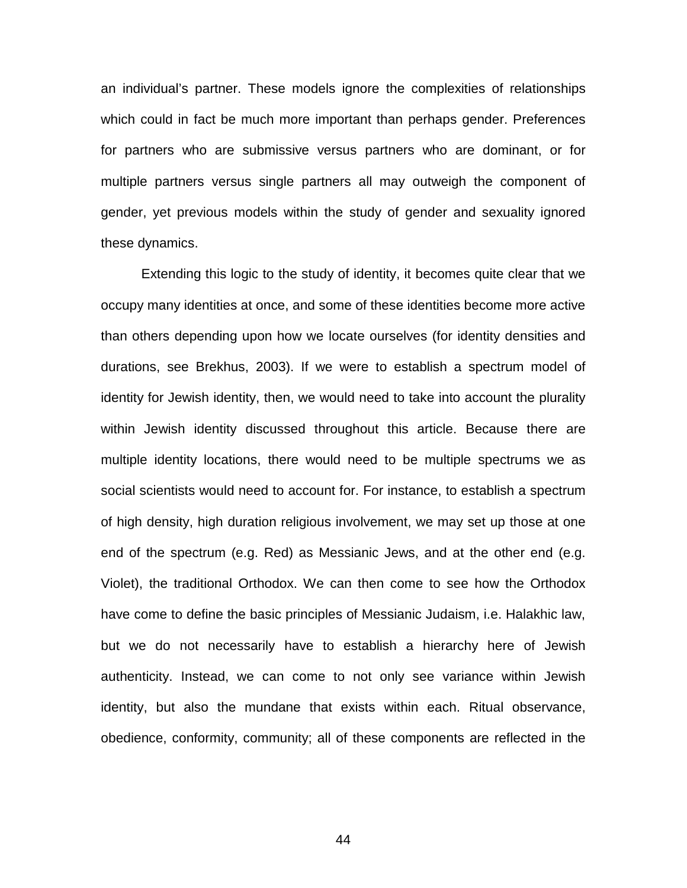an individual's partner. These models ignore the complexities of relationships which could in fact be much more important than perhaps gender. Preferences for partners who are submissive versus partners who are dominant, or for multiple partners versus single partners all may outweigh the component of gender, yet previous models within the study of gender and sexuality ignored these dynamics.

 Extending this logic to the study of identity, it becomes quite clear that we occupy many identities at once, and some of these identities become more active than others depending upon how we locate ourselves (for identity densities and durations, see Brekhus, 2003). If we were to establish a spectrum model of identity for Jewish identity, then, we would need to take into account the plurality within Jewish identity discussed throughout this article. Because there are multiple identity locations, there would need to be multiple spectrums we as social scientists would need to account for. For instance, to establish a spectrum of high density, high duration religious involvement, we may set up those at one end of the spectrum (e.g. Red) as Messianic Jews, and at the other end (e.g. Violet), the traditional Orthodox. We can then come to see how the Orthodox have come to define the basic principles of Messianic Judaism, i.e. Halakhic law, but we do not necessarily have to establish a hierarchy here of Jewish authenticity. Instead, we can come to not only see variance within Jewish identity, but also the mundane that exists within each. Ritual observance, obedience, conformity, community; all of these components are reflected in the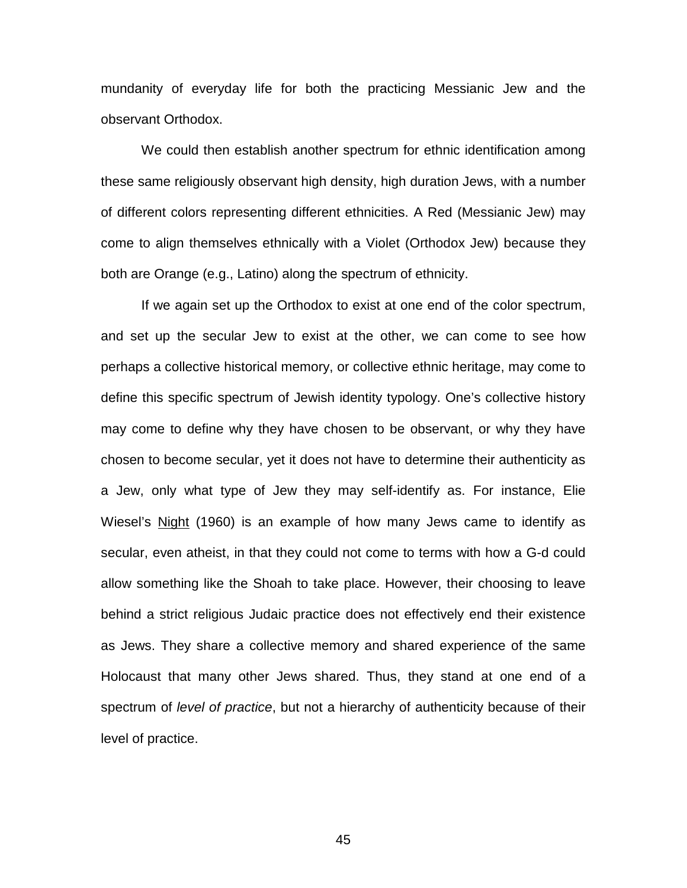mundanity of everyday life for both the practicing Messianic Jew and the observant Orthodox.

 We could then establish another spectrum for ethnic identification among these same religiously observant high density, high duration Jews, with a number of different colors representing different ethnicities. A Red (Messianic Jew) may come to align themselves ethnically with a Violet (Orthodox Jew) because they both are Orange (e.g., Latino) along the spectrum of ethnicity.

 If we again set up the Orthodox to exist at one end of the color spectrum, and set up the secular Jew to exist at the other, we can come to see how perhaps a collective historical memory, or collective ethnic heritage, may come to define this specific spectrum of Jewish identity typology. One's collective history may come to define why they have chosen to be observant, or why they have chosen to become secular, yet it does not have to determine their authenticity as a Jew, only what type of Jew they may self-identify as. For instance, Elie Wiesel's Night (1960) is an example of how many Jews came to identify as secular, even atheist, in that they could not come to terms with how a G-d could allow something like the Shoah to take place. However, their choosing to leave behind a strict religious Judaic practice does not effectively end their existence as Jews. They share a collective memory and shared experience of the same Holocaust that many other Jews shared. Thus, they stand at one end of a spectrum of *level of practice*, but not a hierarchy of authenticity because of their level of practice.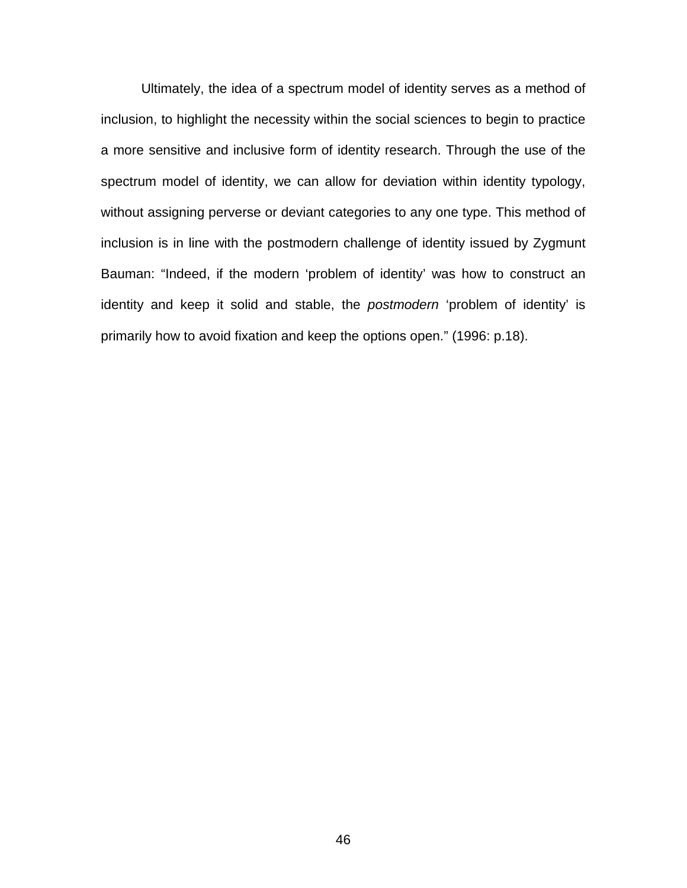Ultimately, the idea of a spectrum model of identity serves as a method of inclusion, to highlight the necessity within the social sciences to begin to practice a more sensitive and inclusive form of identity research. Through the use of the spectrum model of identity, we can allow for deviation within identity typology, without assigning perverse or deviant categories to any one type. This method of inclusion is in line with the postmodern challenge of identity issued by Zygmunt Bauman: "Indeed, if the modern 'problem of identity' was how to construct an identity and keep it solid and stable, the *postmodern* 'problem of identity' is primarily how to avoid fixation and keep the options open." (1996: p.18).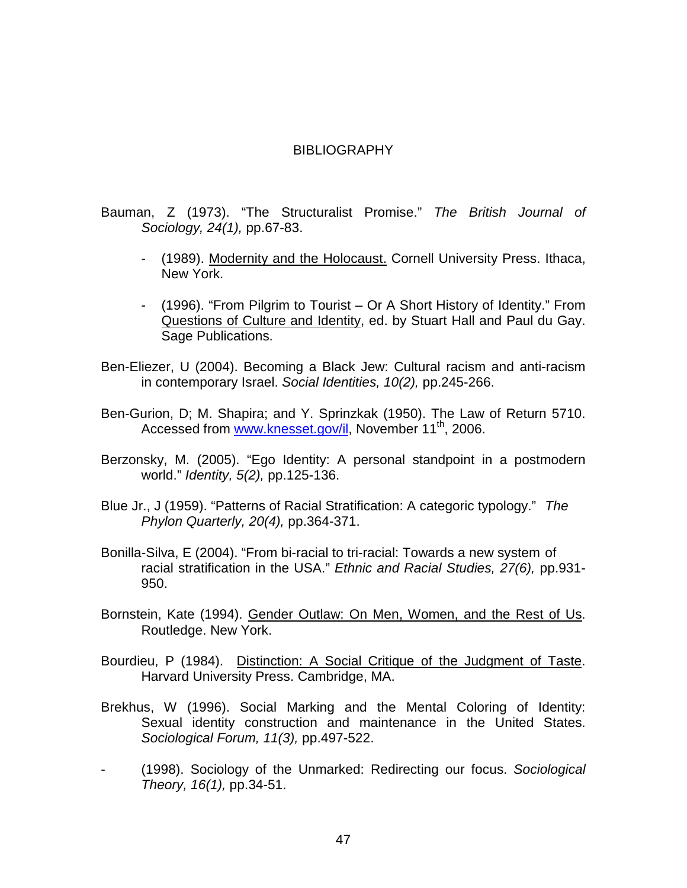#### BIBLIOGRAPHY

- Bauman, Z (1973). "The Structuralist Promise." *The British Journal of Sociology, 24(1),* pp.67-83.
	- (1989). Modernity and the Holocaust. Cornell University Press. Ithaca, New York.
	- (1996). "From Pilgrim to Tourist Or A Short History of Identity." From Questions of Culture and Identity, ed. by Stuart Hall and Paul du Gay. Sage Publications.
- Ben-Eliezer, U (2004). Becoming a Black Jew: Cultural racism and anti-racism in contemporary Israel. *Social Identities, 10(2),* pp.245-266.
- Ben-Gurion, D; M. Shapira; and Y. Sprinzkak (1950). The Law of Return 5710. Accessed from www.knesset.gov/il, November 11<sup>th</sup>, 2006.
- Berzonsky, M. (2005). "Ego Identity: A personal standpoint in a postmodern world." *Identity, 5(2),* pp.125-136.
- Blue Jr., J (1959). "Patterns of Racial Stratification: A categoric typology." *The Phylon Quarterly, 20(4),* pp.364-371.
- Bonilla-Silva, E (2004). "From bi-racial to tri-racial: Towards a new system of racial stratification in the USA." *Ethnic and Racial Studies, 27(6),* pp.931- 950.
- Bornstein, Kate (1994). Gender Outlaw: On Men, Women, and the Rest of Us. Routledge. New York.
- Bourdieu, P (1984). Distinction: A Social Critique of the Judgment of Taste. Harvard University Press. Cambridge, MA.
- Brekhus, W (1996). Social Marking and the Mental Coloring of Identity: Sexual identity construction and maintenance in the United States. *Sociological Forum, 11(3),* pp.497-522.
- (1998). Sociology of the Unmarked: Redirecting our focus. *Sociological Theory, 16(1),* pp.34-51.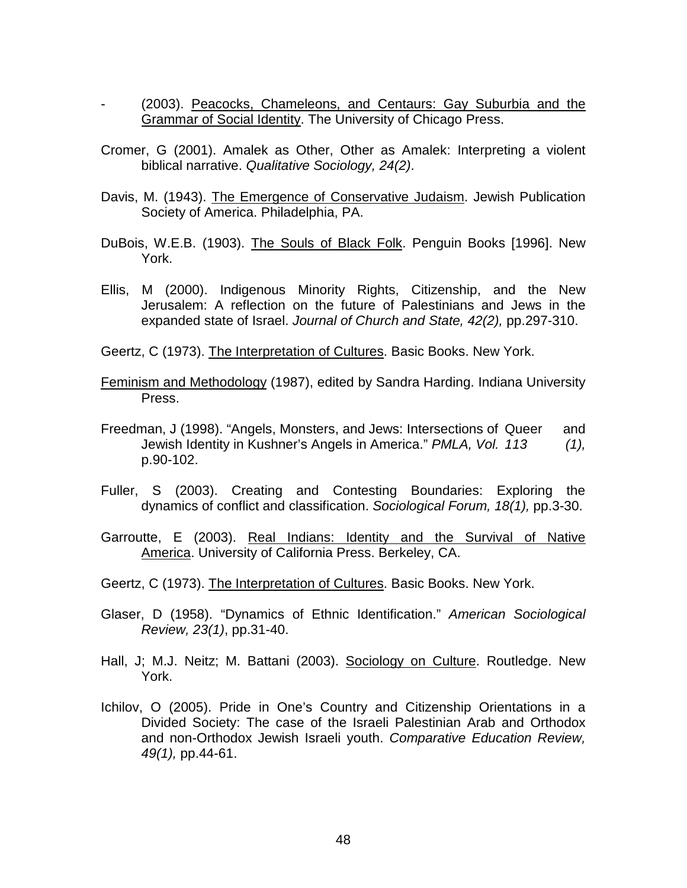- (2003). Peacocks, Chameleons, and Centaurs: Gay Suburbia and the Grammar of Social Identity. The University of Chicago Press.
- Cromer, G (2001). Amalek as Other, Other as Amalek: Interpreting a violent biblical narrative. *Qualitative Sociology, 24(2)*.
- Davis, M. (1943). The Emergence of Conservative Judaism. Jewish Publication Society of America. Philadelphia, PA.
- DuBois, W.E.B. (1903). The Souls of Black Folk. Penguin Books [1996]. New York.
- Ellis, M (2000). Indigenous Minority Rights, Citizenship, and the New Jerusalem: A reflection on the future of Palestinians and Jews in the expanded state of Israel. *Journal of Church and State, 42(2),* pp.297-310.

Geertz, C (1973). The Interpretation of Cultures. Basic Books. New York.

- Feminism and Methodology (1987), edited by Sandra Harding. Indiana University Press.
- Freedman, J (1998). "Angels, Monsters, and Jews: Intersections of Queer and Jewish Identity in Kushner's Angels in America." *PMLA, Vol. 113 (1),*  p.90-102.
- Fuller, S (2003). Creating and Contesting Boundaries: Exploring the dynamics of conflict and classification. *Sociological Forum, 18(1),* pp.3-30.
- Garroutte, E (2003). Real Indians: Identity and the Survival of Native America. University of California Press. Berkeley, CA.
- Geertz, C (1973). The Interpretation of Cultures. Basic Books. New York.
- Glaser, D (1958). "Dynamics of Ethnic Identification." *American Sociological Review, 23(1)*, pp.31-40.
- Hall, J; M.J. Neitz; M. Battani (2003). Sociology on Culture. Routledge. New York.
- Ichilov, O (2005). Pride in One's Country and Citizenship Orientations in a Divided Society: The case of the Israeli Palestinian Arab and Orthodox and non-Orthodox Jewish Israeli youth. *Comparative Education Review, 49(1),* pp.44-61.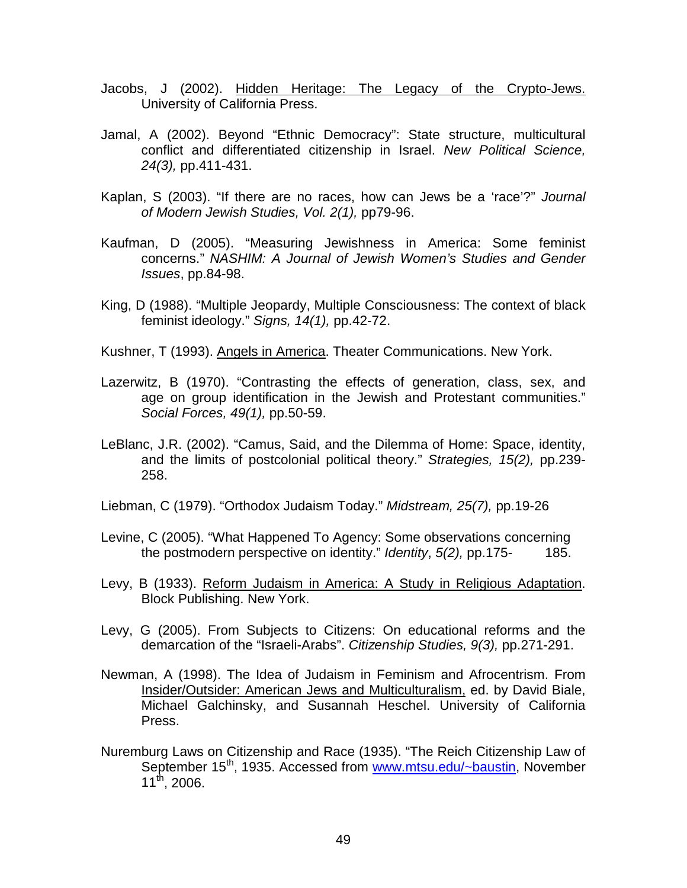- Jacobs, J (2002). Hidden Heritage: The Legacy of the Crypto-Jews. University of California Press.
- Jamal, A (2002). Beyond "Ethnic Democracy": State structure, multicultural conflict and differentiated citizenship in Israel. *New Political Science, 24(3),* pp.411-431.
- Kaplan, S (2003). "If there are no races, how can Jews be a 'race'?" *Journal of Modern Jewish Studies, Vol. 2(1),* pp79-96.
- Kaufman, D (2005). "Measuring Jewishness in America: Some feminist concerns." *NASHIM: A Journal of Jewish Women's Studies and Gender Issues*, pp.84-98.
- King, D (1988). "Multiple Jeopardy, Multiple Consciousness: The context of black feminist ideology." *Signs, 14(1),* pp.42-72.

Kushner, T (1993). Angels in America. Theater Communications. New York.

- Lazerwitz, B (1970). "Contrasting the effects of generation, class, sex, and age on group identification in the Jewish and Protestant communities." *Social Forces, 49(1),* pp.50-59.
- LeBlanc, J.R. (2002). "Camus, Said, and the Dilemma of Home: Space, identity, and the limits of postcolonial political theory." *Strategies, 15(2),* pp.239- 258.
- Liebman, C (1979). "Orthodox Judaism Today." *Midstream, 25(7),* pp.19-26
- Levine, C (2005). "What Happened To Agency: Some observations concerning the postmodern perspective on identity." *Identity*, *5(2),* pp.175- 185.
- Levy, B (1933). Reform Judaism in America: A Study in Religious Adaptation. Block Publishing. New York.
- Levy, G (2005). From Subjects to Citizens: On educational reforms and the demarcation of the "Israeli-Arabs". *Citizenship Studies, 9(3),* pp.271-291.
- Newman, A (1998). The Idea of Judaism in Feminism and Afrocentrism. From Insider/Outsider: American Jews and Multiculturalism, ed. by David Biale, Michael Galchinsky, and Susannah Heschel. University of California Press.
- Nuremburg Laws on Citizenship and Race (1935). "The Reich Citizenship Law of September 15<sup>th</sup>, 1935. Accessed from www.mtsu.edu/~baustin, November  $11^{th}$ , 2006.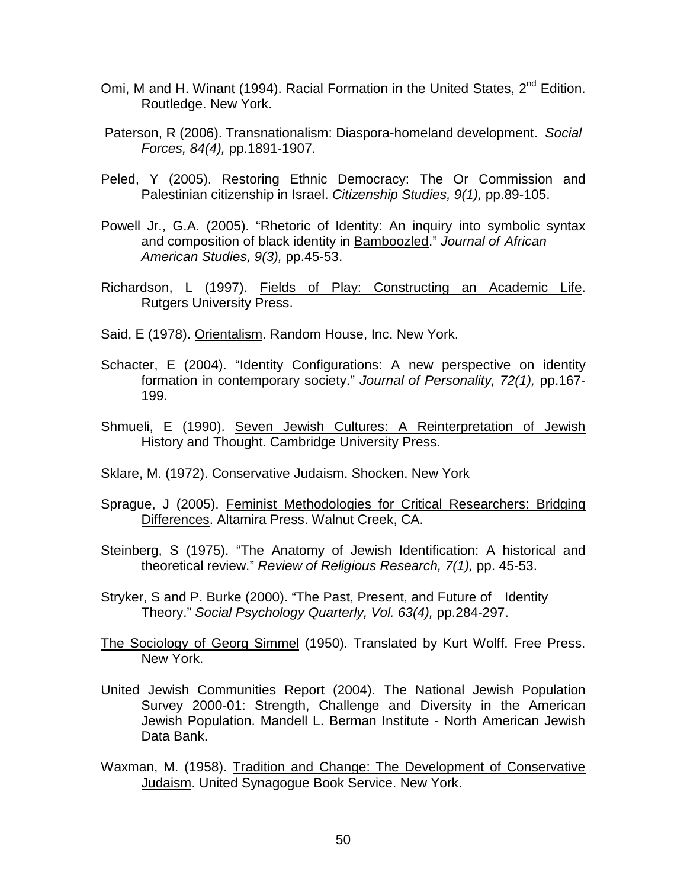- Omi, M and H. Winant (1994). Racial Formation in the United States, 2<sup>nd</sup> Edition. Routledge. New York.
- Paterson, R (2006). Transnationalism: Diaspora-homeland development. *Social Forces, 84(4),* pp.1891-1907.
- Peled, Y (2005). Restoring Ethnic Democracy: The Or Commission and Palestinian citizenship in Israel. *Citizenship Studies, 9(1),* pp.89-105.
- Powell Jr., G.A. (2005). "Rhetoric of Identity: An inquiry into symbolic syntax and composition of black identity in Bamboozled." *Journal of African American Studies, 9(3),* pp.45-53.
- Richardson, L (1997). Fields of Play: Constructing an Academic Life. Rutgers University Press.
- Said, E (1978). Orientalism. Random House, Inc. New York.
- Schacter, E (2004). "Identity Configurations: A new perspective on identity formation in contemporary society." *Journal of Personality, 72(1),* pp.167- 199.
- Shmueli, E (1990). Seven Jewish Cultures: A Reinterpretation of Jewish History and Thought. Cambridge University Press.
- Sklare, M. (1972). Conservative Judaism. Shocken. New York
- Sprague, J (2005). Feminist Methodologies for Critical Researchers: Bridging Differences. Altamira Press. Walnut Creek, CA.
- Steinberg, S (1975). "The Anatomy of Jewish Identification: A historical and theoretical review." *Review of Religious Research, 7(1),* pp. 45-53.
- Stryker, S and P. Burke (2000). "The Past, Present, and Future of Identity Theory." *Social Psychology Quarterly, Vol. 63(4),* pp.284-297.
- The Sociology of Georg Simmel (1950). Translated by Kurt Wolff. Free Press. New York.
- United Jewish Communities Report (2004). The National Jewish Population Survey 2000-01: Strength, Challenge and Diversity in the American Jewish Population. Mandell L. Berman Institute - North American Jewish Data Bank.
- Waxman, M. (1958). Tradition and Change: The Development of Conservative Judaism. United Synagogue Book Service. New York.